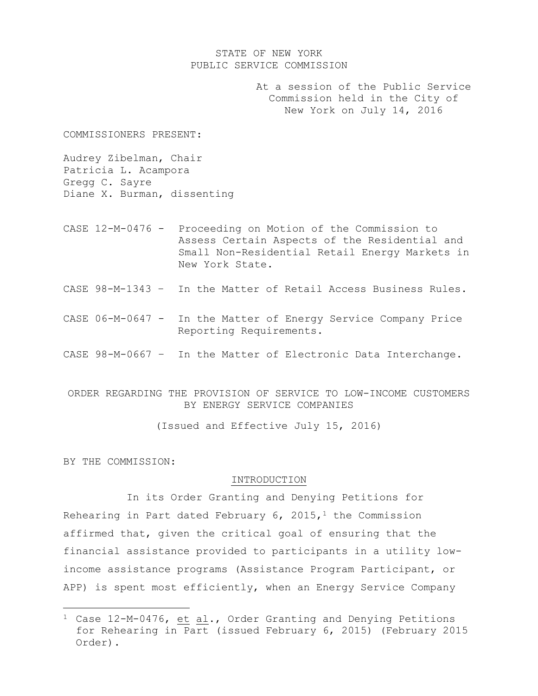## STATE OF NEW YORK PUBLIC SERVICE COMMISSION

At a session of the Public Service Commission held in the City of New York on July 14, 2016

COMMISSIONERS PRESENT:

Audrey Zibelman, Chair Patricia L. Acampora Gregg C. Sayre Diane X. Burman, dissenting

- CASE 12-M-0476 Proceeding on Motion of the Commission to Assess Certain Aspects of the Residential and Small Non-Residential Retail Energy Markets in New York State.
- CASE 98-M-1343 In the Matter of Retail Access Business Rules.
- CASE 06-M-0647 In the Matter of Energy Service Company Price Reporting Requirements.
- CASE 98-M-0667 In the Matter of Electronic Data Interchange.
- ORDER REGARDING THE PROVISION OF SERVICE TO LOW-INCOME CUSTOMERS BY ENERGY SERVICE COMPANIES

(Issued and Effective July 15, 2016)

BY THE COMMISSION:

 $\overline{\phantom{a}}$ 

#### INTRODUCTION

In its Order Granting and Denying Petitions for Rehearing in Part dated February 6, 2015,<sup>1</sup> the Commission affirmed that, given the critical goal of ensuring that the financial assistance provided to participants in a utility lowincome assistance programs (Assistance Program Participant, or APP) is spent most efficiently, when an Energy Service Company

<sup>&</sup>lt;sup>1</sup> Case 12-M-0476, et al., Order Granting and Denying Petitions for Rehearing in Part (issued February 6, 2015) (February 2015 Order).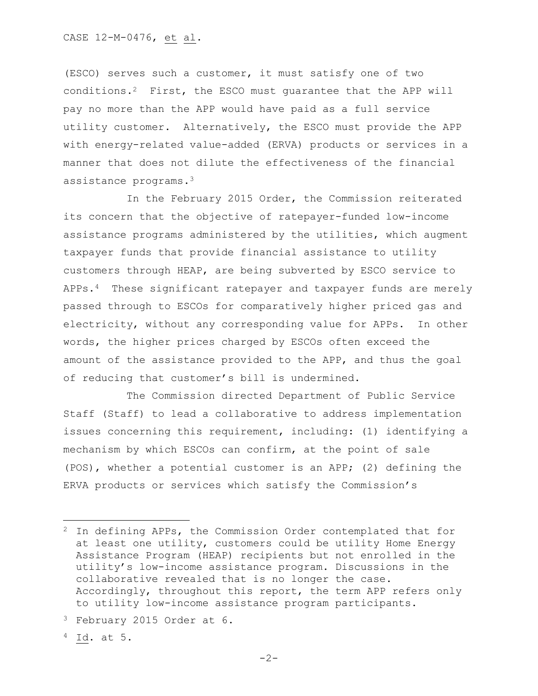(ESCO) serves such a customer, it must satisfy one of two conditions.<sup>2</sup> First, the ESCO must guarantee that the APP will pay no more than the APP would have paid as a full service utility customer. Alternatively, the ESCO must provide the APP with energy-related value-added (ERVA) products or services in a manner that does not dilute the effectiveness of the financial assistance programs.<sup>3</sup>

In the February 2015 Order, the Commission reiterated its concern that the objective of ratepayer-funded low-income assistance programs administered by the utilities, which augment taxpayer funds that provide financial assistance to utility customers through HEAP, are being subverted by ESCO service to APPs.<sup>4</sup> These significant ratepayer and taxpayer funds are merely passed through to ESCOs for comparatively higher priced gas and electricity, without any corresponding value for APPs. In other words, the higher prices charged by ESCOs often exceed the amount of the assistance provided to the APP, and thus the goal of reducing that customer's bill is undermined.

The Commission directed Department of Public Service Staff (Staff) to lead a collaborative to address implementation issues concerning this requirement, including: (1) identifying a mechanism by which ESCOs can confirm, at the point of sale (POS), whether a potential customer is an APP; (2) defining the ERVA products or services which satisfy the Commission's

 $4$  Id. at 5.

 $\overline{a}$ 

<sup>2</sup> In defining APPs, the Commission Order contemplated that for at least one utility, customers could be utility Home Energy Assistance Program (HEAP) recipients but not enrolled in the utility's low-income assistance program. Discussions in the collaborative revealed that is no longer the case. Accordingly, throughout this report, the term APP refers only to utility low-income assistance program participants.

<sup>3</sup> February 2015 Order at 6.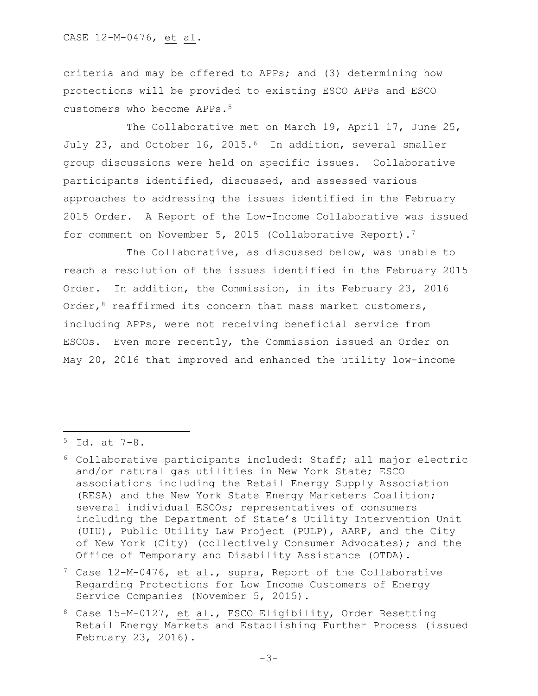criteria and may be offered to APPs; and (3) determining how protections will be provided to existing ESCO APPs and ESCO customers who become APPs.<sup>5</sup>

The Collaborative met on March 19, April 17, June 25, July 23, and October 16, 2015.<sup>6</sup> In addition, several smaller group discussions were held on specific issues. Collaborative participants identified, discussed, and assessed various approaches to addressing the issues identified in the February 2015 Order. A Report of the Low-Income Collaborative was issued for comment on November 5, 2015 (Collaborative Report).<sup>7</sup>

The Collaborative, as discussed below, was unable to reach a resolution of the issues identified in the February 2015 Order. In addition, the Commission, in its February 23, 2016 Order,<sup>8</sup> reaffirmed its concern that mass market customers, including APPs, were not receiving beneficial service from ESCOs. Even more recently, the Commission issued an Order on May 20, 2016 that improved and enhanced the utility low-income

l

<sup>5</sup> Id. at 7–8.

<sup>6</sup> Collaborative participants included: Staff; all major electric and/or natural gas utilities in New York State; ESCO associations including the Retail Energy Supply Association (RESA) and the New York State Energy Marketers Coalition; several individual ESCOs; representatives of consumers including the Department of State's Utility Intervention Unit (UIU), Public Utility Law Project (PULP), AARP, and the City of New York (City) (collectively Consumer Advocates); and the Office of Temporary and Disability Assistance (OTDA).

 $7$  Case 12-M-0476, et al., supra, Report of the Collaborative Regarding Protections for Low Income Customers of Energy Service Companies (November 5, 2015).

<sup>8</sup> Case 15-M-0127, et al., ESCO Eligibility, Order Resetting Retail Energy Markets and Establishing Further Process (issued February 23, 2016).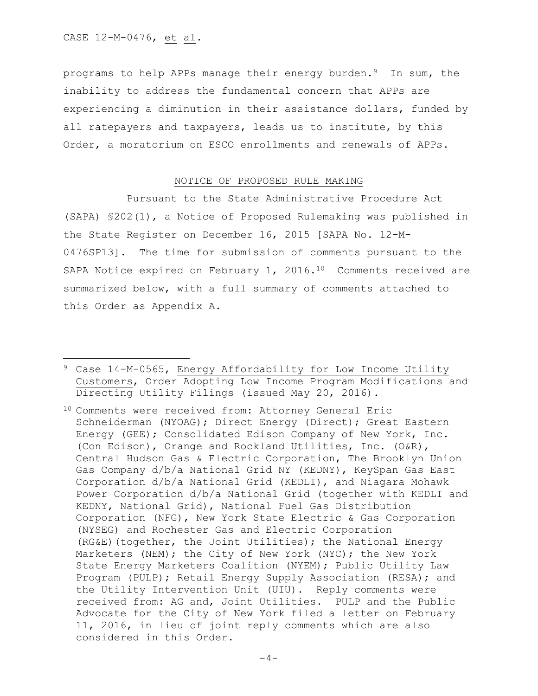$\overline{\phantom{a}}$ 

programs to help APPs manage their energy burden.9 In sum, the inability to address the fundamental concern that APPs are experiencing a diminution in their assistance dollars, funded by all ratepayers and taxpayers, leads us to institute, by this Order, a moratorium on ESCO enrollments and renewals of APPs.

#### NOTICE OF PROPOSED RULE MAKING

Pursuant to the State Administrative Procedure Act (SAPA) §202(1), a Notice of Proposed Rulemaking was published in the State Register on December 16, 2015 [SAPA No. 12-M-0476SP13]. The time for submission of comments pursuant to the SAPA Notice expired on February 1, 2016.<sup>10</sup> Comments received are summarized below, with a full summary of comments attached to this Order as Appendix A.

<sup>9</sup> Case 14-M-0565, Energy Affordability for Low Income Utility Customers, Order Adopting Low Income Program Modifications and Directing Utility Filings (issued May 20, 2016).

<sup>10</sup> Comments were received from: Attorney General Eric Schneiderman (NYOAG); Direct Energy (Direct); Great Eastern Energy (GEE); Consolidated Edison Company of New York, Inc. (Con Edison), Orange and Rockland Utilities, Inc. (O&R), Central Hudson Gas & Electric Corporation, The Brooklyn Union Gas Company d/b/a National Grid NY (KEDNY), KeySpan Gas East Corporation d/b/a National Grid (KEDLI), and Niagara Mohawk Power Corporation d/b/a National Grid (together with KEDLI and KEDNY, National Grid), National Fuel Gas Distribution Corporation (NFG), New York State Electric & Gas Corporation (NYSEG) and Rochester Gas and Electric Corporation (RG&E)(together, the Joint Utilities); the National Energy Marketers (NEM); the City of New York (NYC); the New York State Energy Marketers Coalition (NYEM); Public Utility Law Program (PULP); Retail Energy Supply Association (RESA); and the Utility Intervention Unit (UIU). Reply comments were received from: AG and, Joint Utilities. PULP and the Public Advocate for the City of New York filed a letter on February 11, 2016, in lieu of joint reply comments which are also considered in this Order.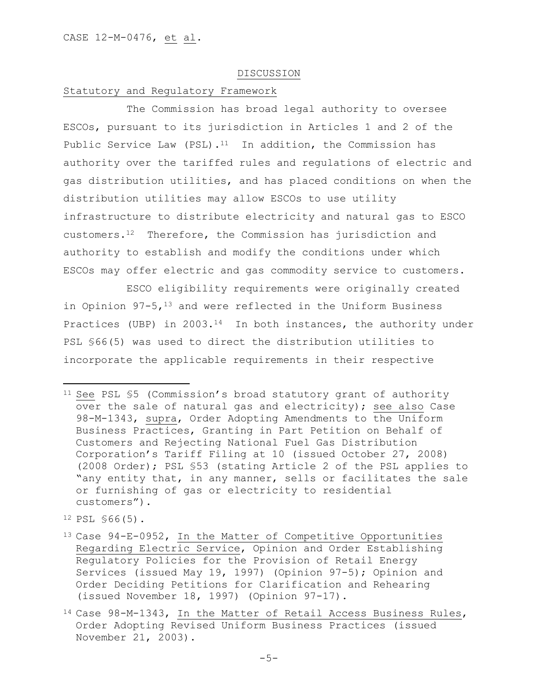#### DISCUSSION

# Statutory and Regulatory Framework

The Commission has broad legal authority to oversee ESCOs, pursuant to its jurisdiction in Articles 1 and 2 of the Public Service Law (PSL).<sup>11</sup> In addition, the Commission has authority over the tariffed rules and regulations of electric and gas distribution utilities, and has placed conditions on when the distribution utilities may allow ESCOs to use utility infrastructure to distribute electricity and natural gas to ESCO customers.12 Therefore, the Commission has jurisdiction and authority to establish and modify the conditions under which ESCOs may offer electric and gas commodity service to customers.

ESCO eligibility requirements were originally created in Opinion  $97-5$ ,  $^{13}$  and were reflected in the Uniform Business Practices (UBP) in 2003.<sup>14</sup> In both instances, the authority under PSL §66(5) was used to direct the distribution utilities to incorporate the applicable requirements in their respective

<sup>12</sup> PSL §66(5).

 $\overline{a}$ 

<sup>&</sup>lt;sup>11</sup> See PSL §5 (Commission's broad statutory grant of authority over the sale of natural gas and electricity); see also Case 98-M-1343, supra, Order Adopting Amendments to the Uniform Business Practices, Granting in Part Petition on Behalf of Customers and Rejecting National Fuel Gas Distribution Corporation's Tariff Filing at 10 (issued October 27, 2008) (2008 Order); PSL §53 (stating Article 2 of the PSL applies to "any entity that, in any manner, sells or facilitates the sale or furnishing of gas or electricity to residential customers").

<sup>13</sup> Case 94-E-0952, In the Matter of Competitive Opportunities Regarding Electric Service, Opinion and Order Establishing Regulatory Policies for the Provision of Retail Energy Services (issued May 19, 1997) (Opinion 97-5); Opinion and Order Deciding Petitions for Clarification and Rehearing (issued November 18, 1997) (Opinion 97-17).

<sup>14</sup> Case 98-M-1343, In the Matter of Retail Access Business Rules, Order Adopting Revised Uniform Business Practices (issued November 21, 2003).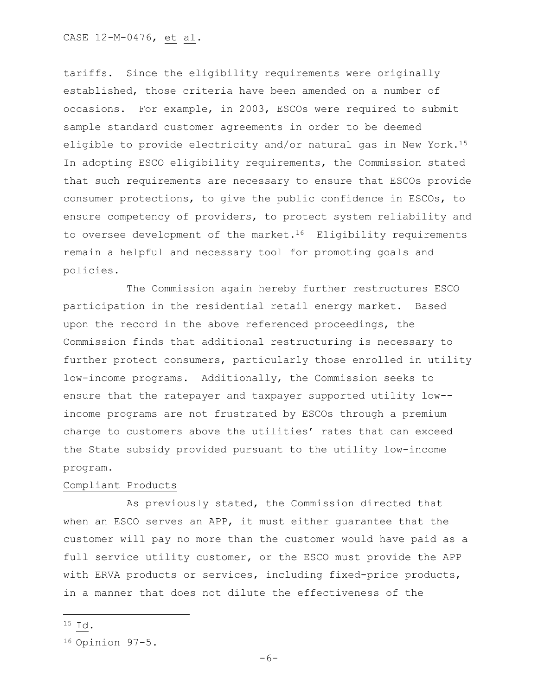tariffs. Since the eligibility requirements were originally established, those criteria have been amended on a number of occasions. For example, in 2003, ESCOs were required to submit sample standard customer agreements in order to be deemed eligible to provide electricity and/or natural gas in New York.<sup>15</sup> In adopting ESCO eligibility requirements, the Commission stated that such requirements are necessary to ensure that ESCOs provide consumer protections, to give the public confidence in ESCOs, to ensure competency of providers, to protect system reliability and to oversee development of the market.<sup>16</sup> Eligibility requirements remain a helpful and necessary tool for promoting goals and policies.

The Commission again hereby further restructures ESCO participation in the residential retail energy market. Based upon the record in the above referenced proceedings, the Commission finds that additional restructuring is necessary to further protect consumers, particularly those enrolled in utility low-income programs. Additionally, the Commission seeks to ensure that the ratepayer and taxpayer supported utility low- income programs are not frustrated by ESCOs through a premium charge to customers above the utilities' rates that can exceed the State subsidy provided pursuant to the utility low-income program.

## Compliant Products

As previously stated, the Commission directed that when an ESCO serves an APP, it must either guarantee that the customer will pay no more than the customer would have paid as a full service utility customer, or the ESCO must provide the APP with ERVA products or services, including fixed-price products, in a manner that does not dilute the effectiveness of the

<sup>15</sup> Id.

 $\overline{\phantom{a}}$ 

<sup>16</sup> Opinion 97-5.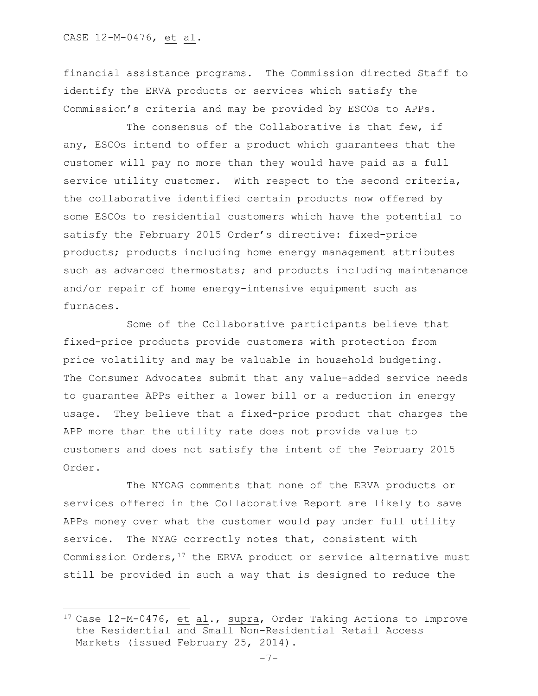#### CASE 12-M-0476, et al.

 $\overline{\phantom{a}}$ 

financial assistance programs. The Commission directed Staff to identify the ERVA products or services which satisfy the Commission's criteria and may be provided by ESCOs to APPs.

The consensus of the Collaborative is that few, if any, ESCOs intend to offer a product which guarantees that the customer will pay no more than they would have paid as a full service utility customer. With respect to the second criteria, the collaborative identified certain products now offered by some ESCOs to residential customers which have the potential to satisfy the February 2015 Order's directive: fixed-price products; products including home energy management attributes such as advanced thermostats; and products including maintenance and/or repair of home energy-intensive equipment such as furnaces.

Some of the Collaborative participants believe that fixed-price products provide customers with protection from price volatility and may be valuable in household budgeting. The Consumer Advocates submit that any value-added service needs to guarantee APPs either a lower bill or a reduction in energy usage. They believe that a fixed-price product that charges the APP more than the utility rate does not provide value to customers and does not satisfy the intent of the February 2015 Order.

The NYOAG comments that none of the ERVA products or services offered in the Collaborative Report are likely to save APPs money over what the customer would pay under full utility service. The NYAG correctly notes that, consistent with Commission Orders,  $17$  the ERVA product or service alternative must still be provided in such a way that is designed to reduce the

<sup>17</sup> Case 12-M-0476, et al., supra, Order Taking Actions to Improve the Residential and Small Non-Residential Retail Access Markets (issued February 25, 2014).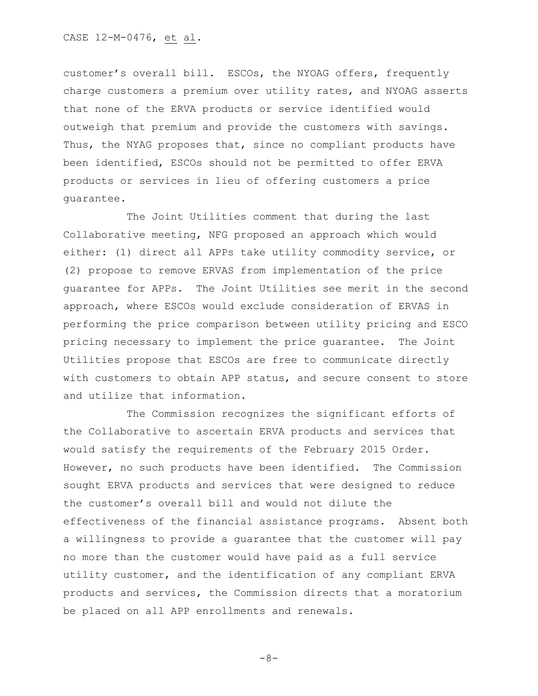customer's overall bill. ESCOs, the NYOAG offers, frequently charge customers a premium over utility rates, and NYOAG asserts that none of the ERVA products or service identified would outweigh that premium and provide the customers with savings. Thus, the NYAG proposes that, since no compliant products have been identified, ESCOs should not be permitted to offer ERVA products or services in lieu of offering customers a price guarantee.

The Joint Utilities comment that during the last Collaborative meeting, NFG proposed an approach which would either: (1) direct all APPs take utility commodity service, or (2) propose to remove ERVAS from implementation of the price guarantee for APPs. The Joint Utilities see merit in the second approach, where ESCOs would exclude consideration of ERVAS in performing the price comparison between utility pricing and ESCO pricing necessary to implement the price guarantee. The Joint Utilities propose that ESCOs are free to communicate directly with customers to obtain APP status, and secure consent to store and utilize that information.

The Commission recognizes the significant efforts of the Collaborative to ascertain ERVA products and services that would satisfy the requirements of the February 2015 Order. However, no such products have been identified. The Commission sought ERVA products and services that were designed to reduce the customer's overall bill and would not dilute the effectiveness of the financial assistance programs. Absent both a willingness to provide a guarantee that the customer will pay no more than the customer would have paid as a full service utility customer, and the identification of any compliant ERVA products and services, the Commission directs that a moratorium be placed on all APP enrollments and renewals.

 $-8-$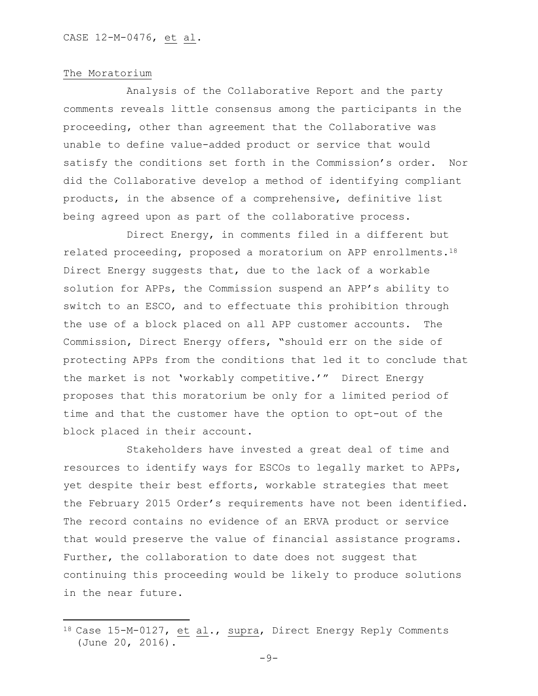#### The Moratorium

 $\overline{\phantom{a}}$ 

Analysis of the Collaborative Report and the party comments reveals little consensus among the participants in the proceeding, other than agreement that the Collaborative was unable to define value-added product or service that would satisfy the conditions set forth in the Commission's order. Nor did the Collaborative develop a method of identifying compliant products, in the absence of a comprehensive, definitive list being agreed upon as part of the collaborative process.

Direct Energy, in comments filed in a different but related proceeding, proposed a moratorium on APP enrollments.<sup>18</sup> Direct Energy suggests that, due to the lack of a workable solution for APPs, the Commission suspend an APP's ability to switch to an ESCO, and to effectuate this prohibition through the use of a block placed on all APP customer accounts. The Commission, Direct Energy offers, "should err on the side of protecting APPs from the conditions that led it to conclude that the market is not 'workably competitive.'" Direct Energy proposes that this moratorium be only for a limited period of time and that the customer have the option to opt-out of the block placed in their account.

Stakeholders have invested a great deal of time and resources to identify ways for ESCOs to legally market to APPs, yet despite their best efforts, workable strategies that meet the February 2015 Order's requirements have not been identified. The record contains no evidence of an ERVA product or service that would preserve the value of financial assistance programs. Further, the collaboration to date does not suggest that continuing this proceeding would be likely to produce solutions in the near future.

<sup>18</sup> Case 15-M-0127, et al., supra, Direct Energy Reply Comments (June 20, 2016).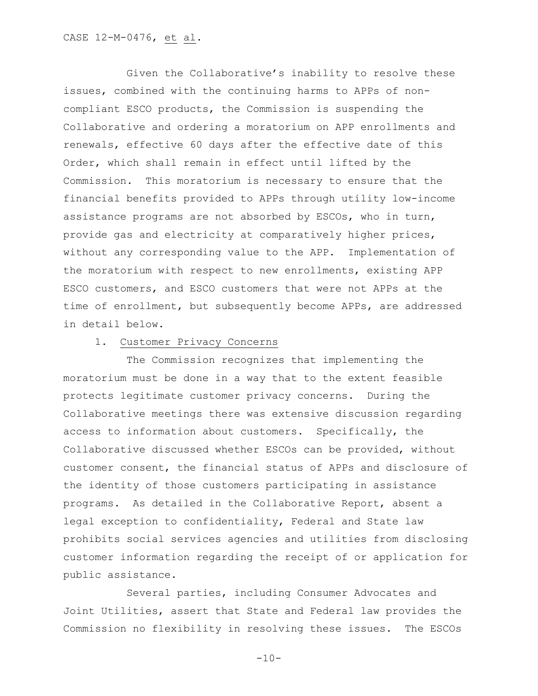Given the Collaborative's inability to resolve these issues, combined with the continuing harms to APPs of noncompliant ESCO products, the Commission is suspending the Collaborative and ordering a moratorium on APP enrollments and renewals, effective 60 days after the effective date of this Order, which shall remain in effect until lifted by the Commission. This moratorium is necessary to ensure that the financial benefits provided to APPs through utility low-income assistance programs are not absorbed by ESCOs, who in turn, provide gas and electricity at comparatively higher prices, without any corresponding value to the APP. Implementation of the moratorium with respect to new enrollments, existing APP ESCO customers, and ESCO customers that were not APPs at the time of enrollment, but subsequently become APPs, are addressed in detail below.

#### 1. Customer Privacy Concerns

The Commission recognizes that implementing the moratorium must be done in a way that to the extent feasible protects legitimate customer privacy concerns. During the Collaborative meetings there was extensive discussion regarding access to information about customers. Specifically, the Collaborative discussed whether ESCOs can be provided, without customer consent, the financial status of APPs and disclosure of the identity of those customers participating in assistance programs. As detailed in the Collaborative Report, absent a legal exception to confidentiality, Federal and State law prohibits social services agencies and utilities from disclosing customer information regarding the receipt of or application for public assistance.

Several parties, including Consumer Advocates and Joint Utilities, assert that State and Federal law provides the Commission no flexibility in resolving these issues. The ESCOs

 $-10-$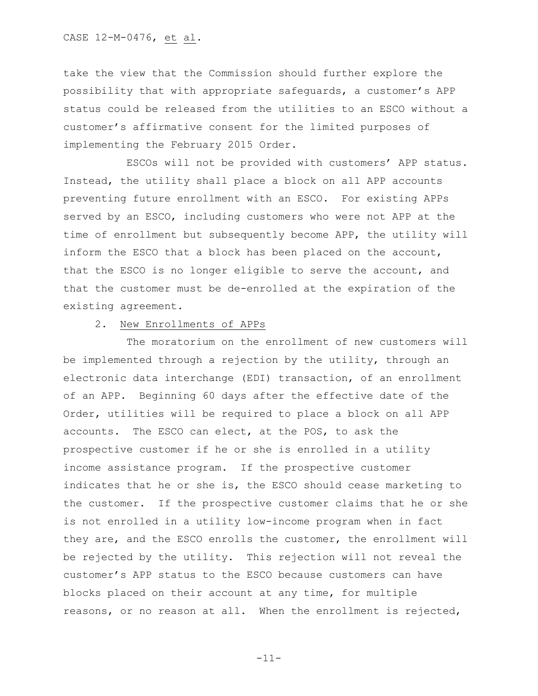take the view that the Commission should further explore the possibility that with appropriate safeguards, a customer's APP status could be released from the utilities to an ESCO without a customer's affirmative consent for the limited purposes of implementing the February 2015 Order.

ESCOs will not be provided with customers' APP status. Instead, the utility shall place a block on all APP accounts preventing future enrollment with an ESCO. For existing APPs served by an ESCO, including customers who were not APP at the time of enrollment but subsequently become APP, the utility will inform the ESCO that a block has been placed on the account, that the ESCO is no longer eligible to serve the account, and that the customer must be de-enrolled at the expiration of the existing agreement.

## 2. New Enrollments of APPs

The moratorium on the enrollment of new customers will be implemented through a rejection by the utility, through an electronic data interchange (EDI) transaction, of an enrollment of an APP. Beginning 60 days after the effective date of the Order, utilities will be required to place a block on all APP accounts. The ESCO can elect, at the POS, to ask the prospective customer if he or she is enrolled in a utility income assistance program. If the prospective customer indicates that he or she is, the ESCO should cease marketing to the customer. If the prospective customer claims that he or she is not enrolled in a utility low-income program when in fact they are, and the ESCO enrolls the customer, the enrollment will be rejected by the utility. This rejection will not reveal the customer's APP status to the ESCO because customers can have blocks placed on their account at any time, for multiple reasons, or no reason at all. When the enrollment is rejected,

-11-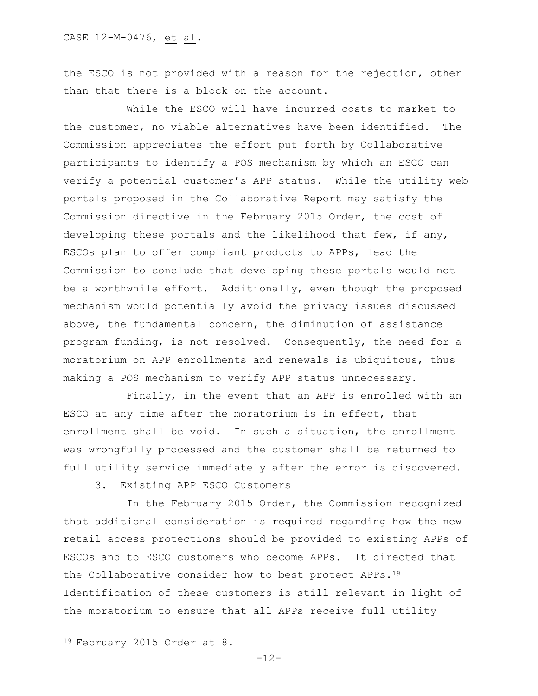the ESCO is not provided with a reason for the rejection, other than that there is a block on the account.

While the ESCO will have incurred costs to market to the customer, no viable alternatives have been identified. The Commission appreciates the effort put forth by Collaborative participants to identify a POS mechanism by which an ESCO can verify a potential customer's APP status. While the utility web portals proposed in the Collaborative Report may satisfy the Commission directive in the February 2015 Order, the cost of developing these portals and the likelihood that few, if any, ESCOs plan to offer compliant products to APPs, lead the Commission to conclude that developing these portals would not be a worthwhile effort. Additionally, even though the proposed mechanism would potentially avoid the privacy issues discussed above, the fundamental concern, the diminution of assistance program funding, is not resolved. Consequently, the need for a moratorium on APP enrollments and renewals is ubiquitous, thus making a POS mechanism to verify APP status unnecessary.

Finally, in the event that an APP is enrolled with an ESCO at any time after the moratorium is in effect, that enrollment shall be void. In such a situation, the enrollment was wrongfully processed and the customer shall be returned to full utility service immediately after the error is discovered.

3. Existing APP ESCO Customers

In the February 2015 Order, the Commission recognized that additional consideration is required regarding how the new retail access protections should be provided to existing APPs of ESCOs and to ESCO customers who become APPs. It directed that the Collaborative consider how to best protect APPs.<sup>19</sup> Identification of these customers is still relevant in light of the moratorium to ensure that all APPs receive full utility

 $\overline{a}$ 

<sup>19</sup> February 2015 Order at 8.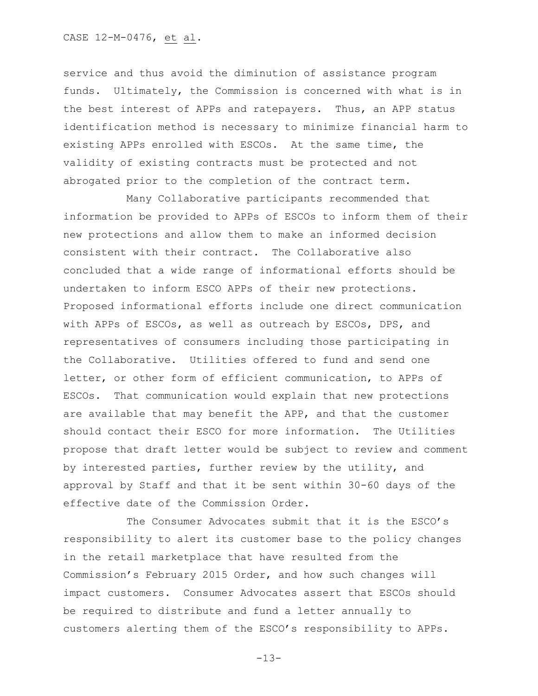service and thus avoid the diminution of assistance program funds. Ultimately, the Commission is concerned with what is in the best interest of APPs and ratepayers. Thus, an APP status identification method is necessary to minimize financial harm to existing APPs enrolled with ESCOs. At the same time, the validity of existing contracts must be protected and not abrogated prior to the completion of the contract term.

Many Collaborative participants recommended that information be provided to APPs of ESCOs to inform them of their new protections and allow them to make an informed decision consistent with their contract. The Collaborative also concluded that a wide range of informational efforts should be undertaken to inform ESCO APPs of their new protections. Proposed informational efforts include one direct communication with APPs of ESCOs, as well as outreach by ESCOs, DPS, and representatives of consumers including those participating in the Collaborative. Utilities offered to fund and send one letter, or other form of efficient communication, to APPs of ESCOs. That communication would explain that new protections are available that may benefit the APP, and that the customer should contact their ESCO for more information. The Utilities propose that draft letter would be subject to review and comment by interested parties, further review by the utility, and approval by Staff and that it be sent within 30-60 days of the effective date of the Commission Order.

The Consumer Advocates submit that it is the ESCO's responsibility to alert its customer base to the policy changes in the retail marketplace that have resulted from the Commission's February 2015 Order, and how such changes will impact customers. Consumer Advocates assert that ESCOs should be required to distribute and fund a letter annually to customers alerting them of the ESCO's responsibility to APPs.

-13-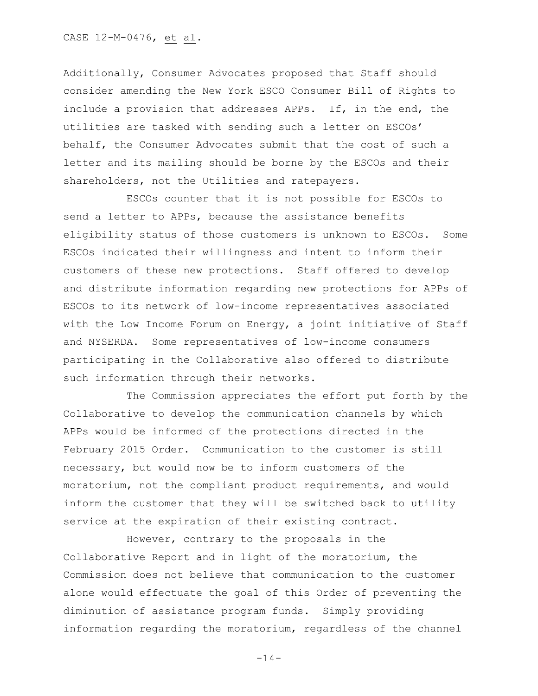CASE 12-M-0476, et al.

Additionally, Consumer Advocates proposed that Staff should consider amending the New York ESCO Consumer Bill of Rights to include a provision that addresses APPs. If, in the end, the utilities are tasked with sending such a letter on ESCOs' behalf, the Consumer Advocates submit that the cost of such a letter and its mailing should be borne by the ESCOs and their shareholders, not the Utilities and ratepayers.

ESCOs counter that it is not possible for ESCOs to send a letter to APPs, because the assistance benefits eligibility status of those customers is unknown to ESCOs. Some ESCOs indicated their willingness and intent to inform their customers of these new protections. Staff offered to develop and distribute information regarding new protections for APPs of ESCOs to its network of low-income representatives associated with the Low Income Forum on Energy, a joint initiative of Staff and NYSERDA. Some representatives of low-income consumers participating in the Collaborative also offered to distribute such information through their networks.

The Commission appreciates the effort put forth by the Collaborative to develop the communication channels by which APPs would be informed of the protections directed in the February 2015 Order. Communication to the customer is still necessary, but would now be to inform customers of the moratorium, not the compliant product requirements, and would inform the customer that they will be switched back to utility service at the expiration of their existing contract.

However, contrary to the proposals in the Collaborative Report and in light of the moratorium, the Commission does not believe that communication to the customer alone would effectuate the goal of this Order of preventing the diminution of assistance program funds. Simply providing information regarding the moratorium, regardless of the channel

 $-14-$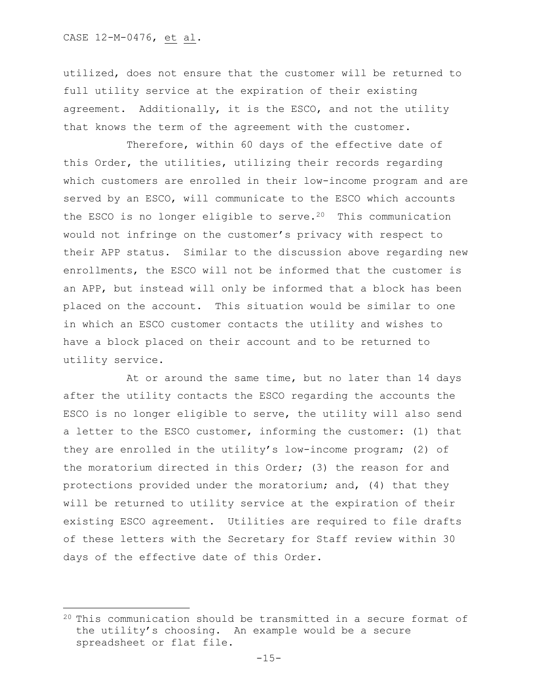$\overline{\phantom{a}}$ 

utilized, does not ensure that the customer will be returned to full utility service at the expiration of their existing agreement. Additionally, it is the ESCO, and not the utility that knows the term of the agreement with the customer.

Therefore, within 60 days of the effective date of this Order, the utilities, utilizing their records regarding which customers are enrolled in their low-income program and are served by an ESCO, will communicate to the ESCO which accounts the ESCO is no longer eligible to serve.<sup>20</sup> This communication would not infringe on the customer's privacy with respect to their APP status. Similar to the discussion above regarding new enrollments, the ESCO will not be informed that the customer is an APP, but instead will only be informed that a block has been placed on the account. This situation would be similar to one in which an ESCO customer contacts the utility and wishes to have a block placed on their account and to be returned to utility service.

At or around the same time, but no later than 14 days after the utility contacts the ESCO regarding the accounts the ESCO is no longer eligible to serve, the utility will also send a letter to the ESCO customer, informing the customer: (1) that they are enrolled in the utility's low-income program; (2) of the moratorium directed in this Order; (3) the reason for and protections provided under the moratorium; and, (4) that they will be returned to utility service at the expiration of their existing ESCO agreement. Utilities are required to file drafts of these letters with the Secretary for Staff review within 30 days of the effective date of this Order.

<sup>20</sup> This communication should be transmitted in a secure format of the utility's choosing. An example would be a secure spreadsheet or flat file.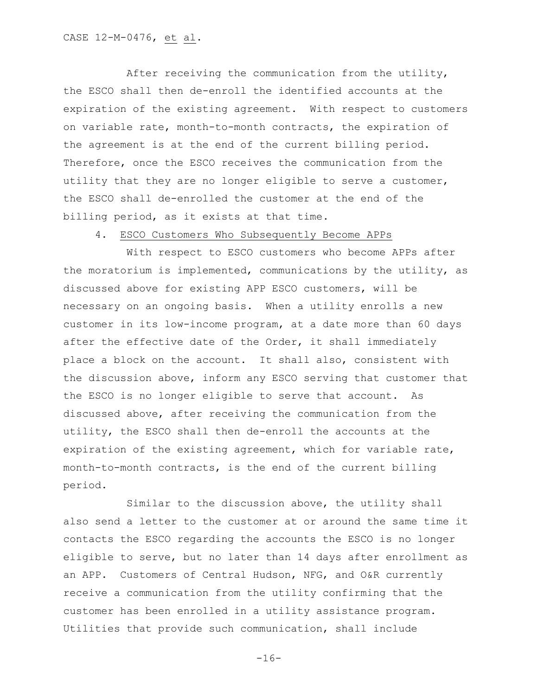After receiving the communication from the utility, the ESCO shall then de-enroll the identified accounts at the expiration of the existing agreement. With respect to customers on variable rate, month-to-month contracts, the expiration of the agreement is at the end of the current billing period. Therefore, once the ESCO receives the communication from the utility that they are no longer eligible to serve a customer, the ESCO shall de-enrolled the customer at the end of the billing period, as it exists at that time.

#### 4. ESCO Customers Who Subsequently Become APPs

With respect to ESCO customers who become APPs after the moratorium is implemented, communications by the utility, as discussed above for existing APP ESCO customers, will be necessary on an ongoing basis. When a utility enrolls a new customer in its low-income program, at a date more than 60 days after the effective date of the Order, it shall immediately place a block on the account. It shall also, consistent with the discussion above, inform any ESCO serving that customer that the ESCO is no longer eligible to serve that account. As discussed above, after receiving the communication from the utility, the ESCO shall then de-enroll the accounts at the expiration of the existing agreement, which for variable rate, month-to-month contracts, is the end of the current billing period.

Similar to the discussion above, the utility shall also send a letter to the customer at or around the same time it contacts the ESCO regarding the accounts the ESCO is no longer eligible to serve, but no later than 14 days after enrollment as an APP. Customers of Central Hudson, NFG, and O&R currently receive a communication from the utility confirming that the customer has been enrolled in a utility assistance program. Utilities that provide such communication, shall include

-16-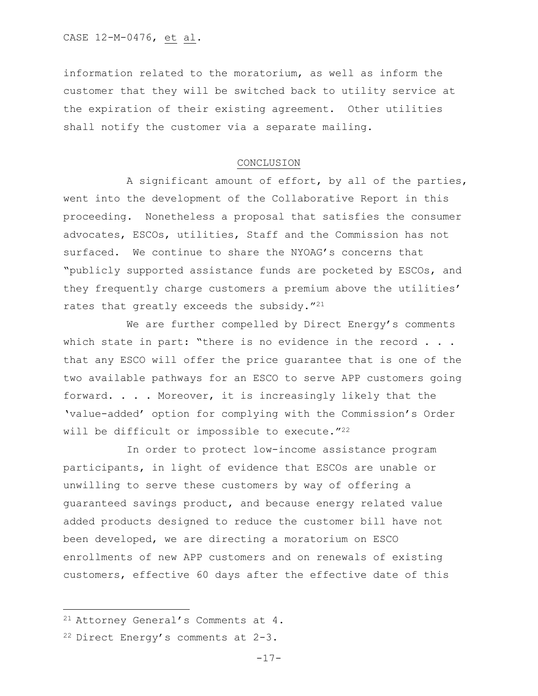information related to the moratorium, as well as inform the customer that they will be switched back to utility service at the expiration of their existing agreement. Other utilities shall notify the customer via a separate mailing.

#### CONCLUSION

A significant amount of effort, by all of the parties, went into the development of the Collaborative Report in this proceeding. Nonetheless a proposal that satisfies the consumer advocates, ESCOs, utilities, Staff and the Commission has not surfaced. We continue to share the NYOAG's concerns that "publicly supported assistance funds are pocketed by ESCOs, and they frequently charge customers a premium above the utilities' rates that greatly exceeds the subsidy."<sup>21</sup>

We are further compelled by Direct Energy's comments which state in part: "there is no evidence in the record . . . that any ESCO will offer the price guarantee that is one of the two available pathways for an ESCO to serve APP customers going forward. . . . Moreover, it is increasingly likely that the 'value-added' option for complying with the Commission's Order will be difficult or impossible to execute."<sup>22</sup>

In order to protect low-income assistance program participants, in light of evidence that ESCOs are unable or unwilling to serve these customers by way of offering a guaranteed savings product, and because energy related value added products designed to reduce the customer bill have not been developed, we are directing a moratorium on ESCO enrollments of new APP customers and on renewals of existing customers, effective 60 days after the effective date of this

 $\overline{\phantom{a}}$ 

<sup>21</sup> Attorney General's Comments at 4.

<sup>22</sup> Direct Energy's comments at 2-3.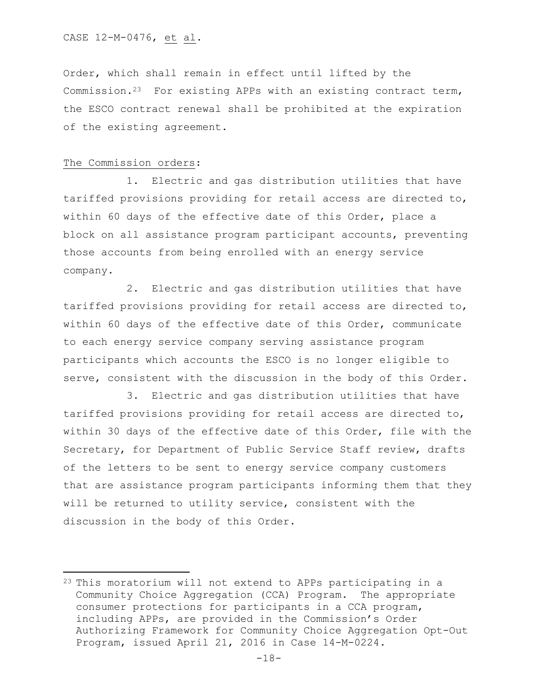Order, which shall remain in effect until lifted by the Commission.<sup>23</sup> For existing APPs with an existing contract term, the ESCO contract renewal shall be prohibited at the expiration of the existing agreement.

### The Commission orders:

 $\overline{\phantom{a}}$ 

1. Electric and gas distribution utilities that have tariffed provisions providing for retail access are directed to, within 60 days of the effective date of this Order, place a block on all assistance program participant accounts, preventing those accounts from being enrolled with an energy service company.

2. Electric and gas distribution utilities that have tariffed provisions providing for retail access are directed to, within 60 days of the effective date of this Order, communicate to each energy service company serving assistance program participants which accounts the ESCO is no longer eligible to serve, consistent with the discussion in the body of this Order.

3. Electric and gas distribution utilities that have tariffed provisions providing for retail access are directed to, within 30 days of the effective date of this Order, file with the Secretary, for Department of Public Service Staff review, drafts of the letters to be sent to energy service company customers that are assistance program participants informing them that they will be returned to utility service, consistent with the discussion in the body of this Order.

<sup>&</sup>lt;sup>23</sup> This moratorium will not extend to APPs participating in a Community Choice Aggregation (CCA) Program. The appropriate consumer protections for participants in a CCA program, including APPs, are provided in the Commission's Order Authorizing Framework for Community Choice Aggregation Opt-Out Program, issued April 21, 2016 in Case 14-M-0224.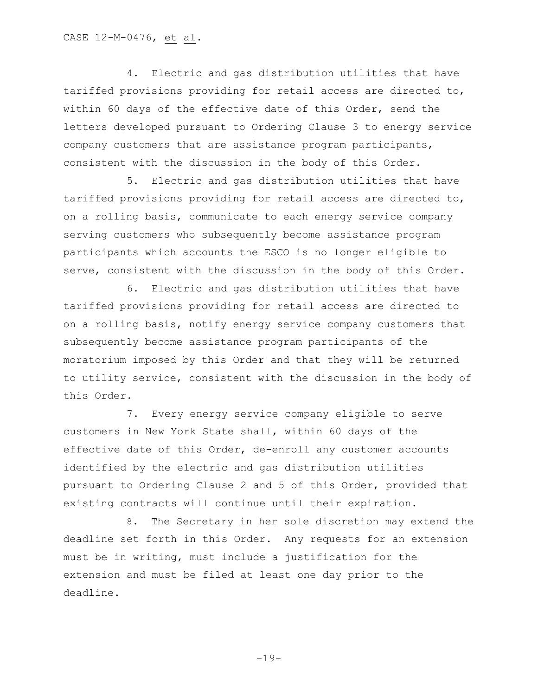4. Electric and gas distribution utilities that have tariffed provisions providing for retail access are directed to, within 60 days of the effective date of this Order, send the letters developed pursuant to Ordering Clause 3 to energy service company customers that are assistance program participants, consistent with the discussion in the body of this Order.

5. Electric and gas distribution utilities that have tariffed provisions providing for retail access are directed to, on a rolling basis, communicate to each energy service company serving customers who subsequently become assistance program participants which accounts the ESCO is no longer eligible to serve, consistent with the discussion in the body of this Order.

6. Electric and gas distribution utilities that have tariffed provisions providing for retail access are directed to on a rolling basis, notify energy service company customers that subsequently become assistance program participants of the moratorium imposed by this Order and that they will be returned to utility service, consistent with the discussion in the body of this Order.

7. Every energy service company eligible to serve customers in New York State shall, within 60 days of the effective date of this Order, de-enroll any customer accounts identified by the electric and gas distribution utilities pursuant to Ordering Clause 2 and 5 of this Order, provided that existing contracts will continue until their expiration.

8. The Secretary in her sole discretion may extend the deadline set forth in this Order. Any requests for an extension must be in writing, must include a justification for the extension and must be filed at least one day prior to the deadline.

-19-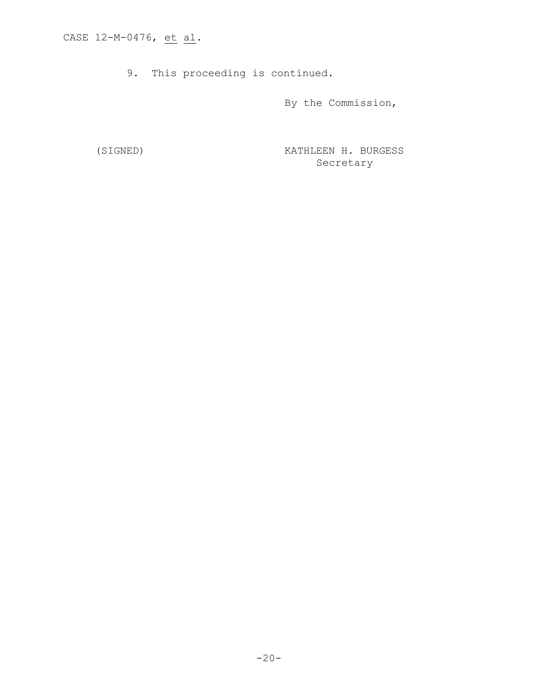9. This proceeding is continued.

By the Commission,

(SIGNED) KATHLEEN H. BURGESS Secretary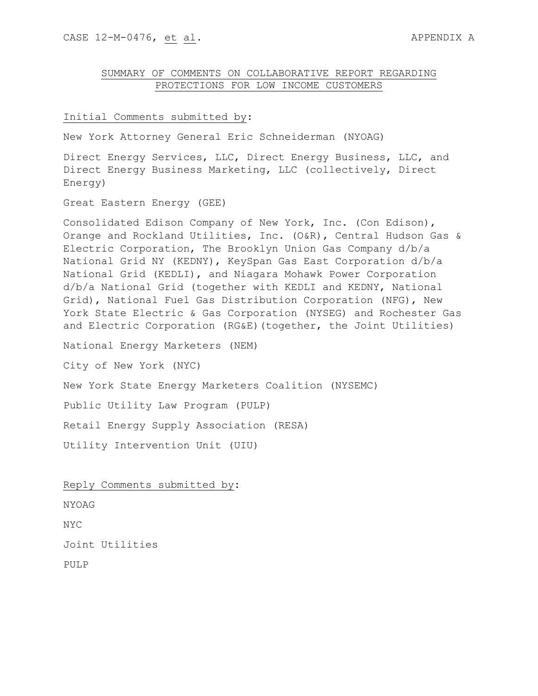## SUMMARY OF COMMENTS ON COLLABORATIVE REPORT REGARDING PROTECTIONS FOR LOW INCOME CUSTOMERS

#### Initial Comments submitted by:

New York Attorney General Eric Schneiderman (NYOAG)

Direct Energy Services, LLC, Direct Energy Business, LLC, and Direct Energy Business Marketing, LLC (collectively, Direct Energy)

Great Eastern Energy (GEE)

Consolidated Edison Company of New York, Inc. (Con Edison), Orange and Rockland Utilities, Inc. (O&R), Central Hudson Gas & Electric Corporation, The Brooklyn Union Gas Company d/b/a National Grid NY (KEDNY), KeySpan Gas East Corporation d/b/a National Grid (KEDLI), and Niagara Mohawk Power Corporation d/b/a National Grid (together with KEDLI and KEDNY, National Grid), National Fuel Gas Distribution Corporation (NFG), New York State Electric & Gas Corporation (NYSEG) and Rochester Gas and Electric Corporation (RG&E)(together, the Joint Utilities)

National Energy Marketers (NEM)

City of New York (NYC)

New York State Energy Marketers Coalition (NYSEMC)

Public Utility Law Program (PULP)

Retail Energy Supply Association (RESA)

Utility Intervention Unit (UIU)

Reply Comments submitted by**:**

NYOAG

NYC

Joint Utilities

PULP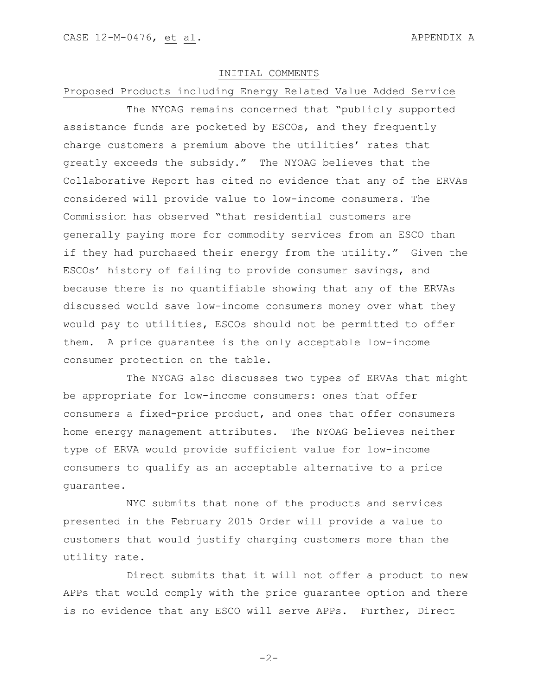### INITIAL COMMENTS

#### Proposed Products including Energy Related Value Added Service

The NYOAG remains concerned that "publicly supported assistance funds are pocketed by ESCOs, and they frequently charge customers a premium above the utilities' rates that greatly exceeds the subsidy." The NYOAG believes that the Collaborative Report has cited no evidence that any of the ERVAs considered will provide value to low-income consumers. The Commission has observed "that residential customers are generally paying more for commodity services from an ESCO than if they had purchased their energy from the utility." Given the ESCOs' history of failing to provide consumer savings, and because there is no quantifiable showing that any of the ERVAs discussed would save low-income consumers money over what they would pay to utilities, ESCOs should not be permitted to offer them. A price guarantee is the only acceptable low-income consumer protection on the table.

The NYOAG also discusses two types of ERVAs that might be appropriate for low-income consumers: ones that offer consumers a fixed-price product, and ones that offer consumers home energy management attributes. The NYOAG believes neither type of ERVA would provide sufficient value for low-income consumers to qualify as an acceptable alternative to a price guarantee.

NYC submits that none of the products and services presented in the February 2015 Order will provide a value to customers that would justify charging customers more than the utility rate.

Direct submits that it will not offer a product to new APPs that would comply with the price guarantee option and there is no evidence that any ESCO will serve APPs. Further, Direct

 $-2-$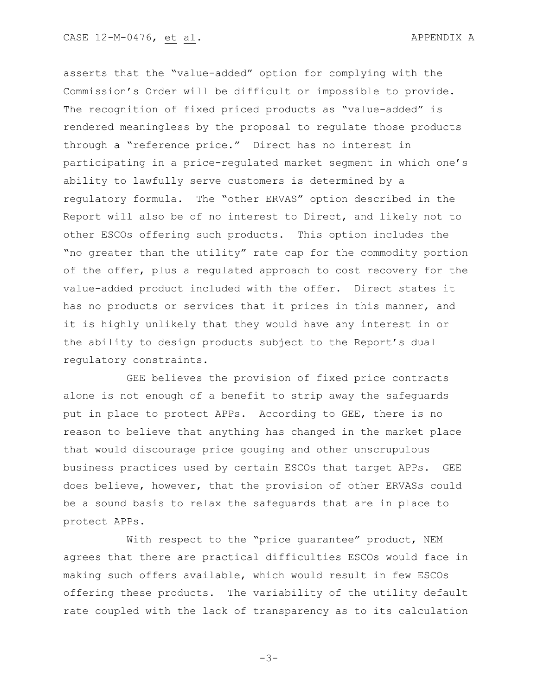asserts that the "value-added" option for complying with the Commission's Order will be difficult or impossible to provide. The recognition of fixed priced products as "value-added" is rendered meaningless by the proposal to regulate those products through a "reference price." Direct has no interest in participating in a price-regulated market segment in which one's ability to lawfully serve customers is determined by a regulatory formula. The "other ERVAS" option described in the Report will also be of no interest to Direct, and likely not to other ESCOs offering such products. This option includes the "no greater than the utility" rate cap for the commodity portion of the offer, plus a regulated approach to cost recovery for the value-added product included with the offer. Direct states it has no products or services that it prices in this manner, and it is highly unlikely that they would have any interest in or the ability to design products subject to the Report's dual regulatory constraints.

GEE believes the provision of fixed price contracts alone is not enough of a benefit to strip away the safeguards put in place to protect APPs. According to GEE, there is no reason to believe that anything has changed in the market place that would discourage price gouging and other unscrupulous business practices used by certain ESCOs that target APPs. GEE does believe, however, that the provision of other ERVASs could be a sound basis to relax the safeguards that are in place to protect APPs.

With respect to the "price guarantee" product, NEM agrees that there are practical difficulties ESCOs would face in making such offers available, which would result in few ESCOs offering these products. The variability of the utility default rate coupled with the lack of transparency as to its calculation

-3-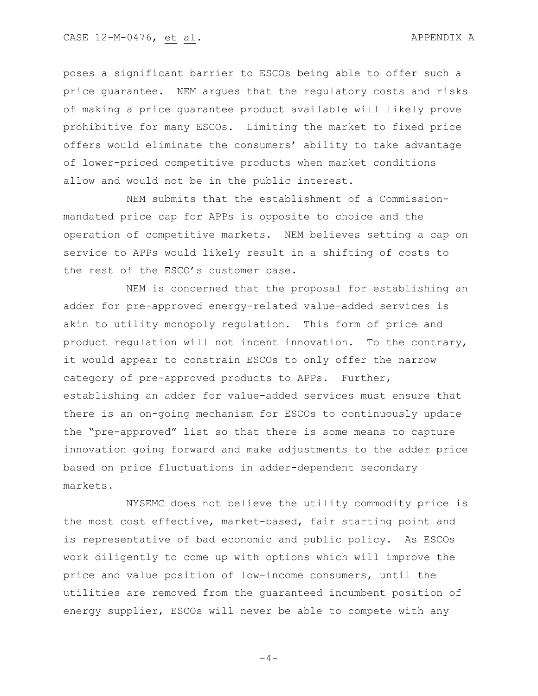poses a significant barrier to ESCOs being able to offer such a price guarantee. NEM argues that the regulatory costs and risks of making a price guarantee product available will likely prove prohibitive for many ESCOs. Limiting the market to fixed price offers would eliminate the consumers' ability to take advantage of lower-priced competitive products when market conditions allow and would not be in the public interest.

NEM submits that the establishment of a Commissionmandated price cap for APPs is opposite to choice and the operation of competitive markets. NEM believes setting a cap on service to APPs would likely result in a shifting of costs to the rest of the ESCO's customer base.

NEM is concerned that the proposal for establishing an adder for pre-approved energy-related value-added services is akin to utility monopoly regulation. This form of price and product regulation will not incent innovation. To the contrary, it would appear to constrain ESCOs to only offer the narrow category of pre-approved products to APPs. Further, establishing an adder for value-added services must ensure that there is an on-going mechanism for ESCOs to continuously update the "pre-approved" list so that there is some means to capture innovation going forward and make adjustments to the adder price based on price fluctuations in adder-dependent secondary markets.

NYSEMC does not believe the utility commodity price is the most cost effective, market-based, fair starting point and is representative of bad economic and public policy. As ESCOs work diligently to come up with options which will improve the price and value position of low-income consumers, until the utilities are removed from the guaranteed incumbent position of energy supplier, ESCOs will never be able to compete with any

 $-4-$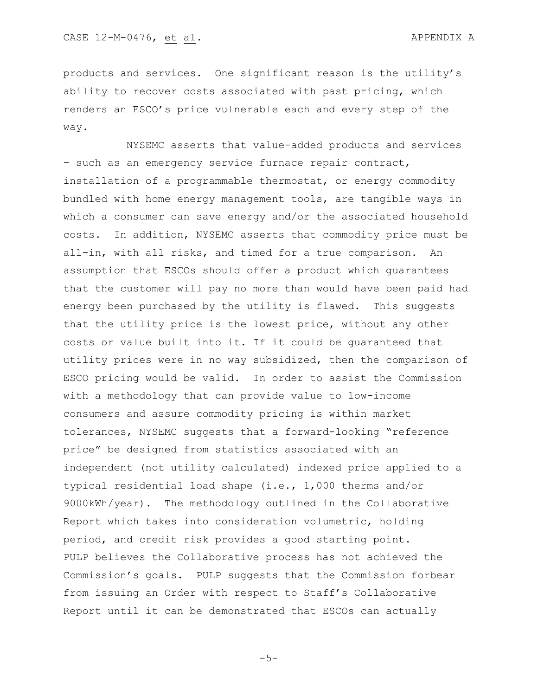products and services. One significant reason is the utility's ability to recover costs associated with past pricing, which renders an ESCO's price vulnerable each and every step of the way.

NYSEMC asserts that value-added products and services – such as an emergency service furnace repair contract, installation of a programmable thermostat, or energy commodity bundled with home energy management tools, are tangible ways in which a consumer can save energy and/or the associated household costs. In addition, NYSEMC asserts that commodity price must be all-in, with all risks, and timed for a true comparison. An assumption that ESCOs should offer a product which guarantees that the customer will pay no more than would have been paid had energy been purchased by the utility is flawed. This suggests that the utility price is the lowest price, without any other costs or value built into it. If it could be guaranteed that utility prices were in no way subsidized, then the comparison of ESCO pricing would be valid. In order to assist the Commission with a methodology that can provide value to low-income consumers and assure commodity pricing is within market tolerances, NYSEMC suggests that a forward-looking "reference price" be designed from statistics associated with an independent (not utility calculated) indexed price applied to a typical residential load shape (i.e., 1,000 therms and/or 9000kWh/year). The methodology outlined in the Collaborative Report which takes into consideration volumetric, holding period, and credit risk provides a good starting point. PULP believes the Collaborative process has not achieved the Commission's goals. PULP suggests that the Commission forbear from issuing an Order with respect to Staff's Collaborative Report until it can be demonstrated that ESCOs can actually

 $-5-$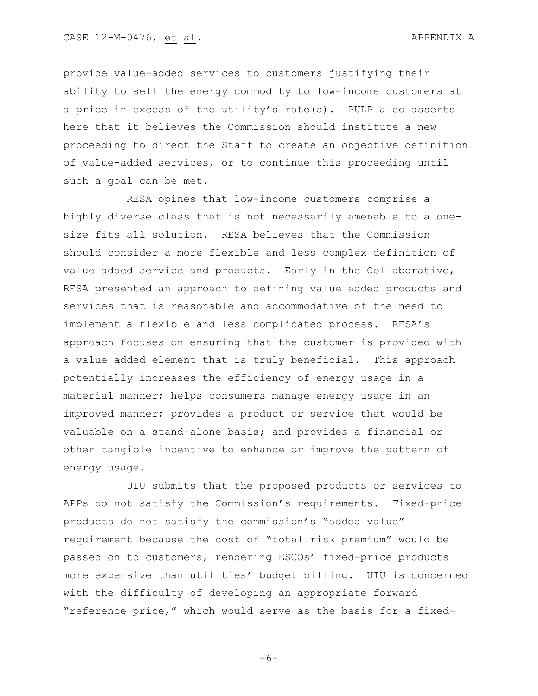provide value-added services to customers justifying their ability to sell the energy commodity to low-income customers at a price in excess of the utility's rate(s). PULP also asserts here that it believes the Commission should institute a new proceeding to direct the Staff to create an objective definition of value-added services, or to continue this proceeding until such a goal can be met.

RESA opines that low-income customers comprise a highly diverse class that is not necessarily amenable to a onesize fits all solution. RESA believes that the Commission should consider a more flexible and less complex definition of value added service and products. Early in the Collaborative, RESA presented an approach to defining value added products and services that is reasonable and accommodative of the need to implement a flexible and less complicated process. RESA's approach focuses on ensuring that the customer is provided with a value added element that is truly beneficial. This approach potentially increases the efficiency of energy usage in a material manner; helps consumers manage energy usage in an improved manner; provides a product or service that would be valuable on a stand-alone basis; and provides a financial or other tangible incentive to enhance or improve the pattern of energy usage.

UIU submits that the proposed products or services to APPs do not satisfy the Commission's requirements. Fixed-price products do not satisfy the commission's "added value" requirement because the cost of "total risk premium" would be passed on to customers, rendering ESCOs' fixed-price products more expensive than utilities' budget billing. UIU is concerned with the difficulty of developing an appropriate forward "reference price," which would serve as the basis for a fixed-

 $-6-$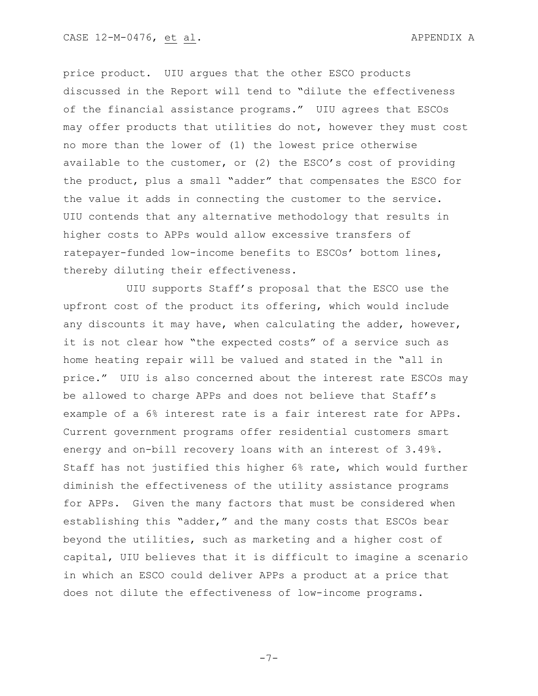price product. UIU argues that the other ESCO products discussed in the Report will tend to "dilute the effectiveness of the financial assistance programs." UIU agrees that ESCOs may offer products that utilities do not, however they must cost no more than the lower of (1) the lowest price otherwise available to the customer, or (2) the ESCO's cost of providing the product, plus a small "adder" that compensates the ESCO for the value it adds in connecting the customer to the service. UIU contends that any alternative methodology that results in higher costs to APPs would allow excessive transfers of ratepayer-funded low-income benefits to ESCOs' bottom lines, thereby diluting their effectiveness.

UIU supports Staff's proposal that the ESCO use the upfront cost of the product its offering, which would include any discounts it may have, when calculating the adder, however, it is not clear how "the expected costs" of a service such as home heating repair will be valued and stated in the "all in price." UIU is also concerned about the interest rate ESCOs may be allowed to charge APPs and does not believe that Staff's example of a 6% interest rate is a fair interest rate for APPs. Current government programs offer residential customers smart energy and on-bill recovery loans with an interest of 3.49%. Staff has not justified this higher 6% rate, which would further diminish the effectiveness of the utility assistance programs for APPs. Given the many factors that must be considered when establishing this "adder," and the many costs that ESCOs bear beyond the utilities, such as marketing and a higher cost of capital, UIU believes that it is difficult to imagine a scenario in which an ESCO could deliver APPs a product at a price that does not dilute the effectiveness of low-income programs.

-7-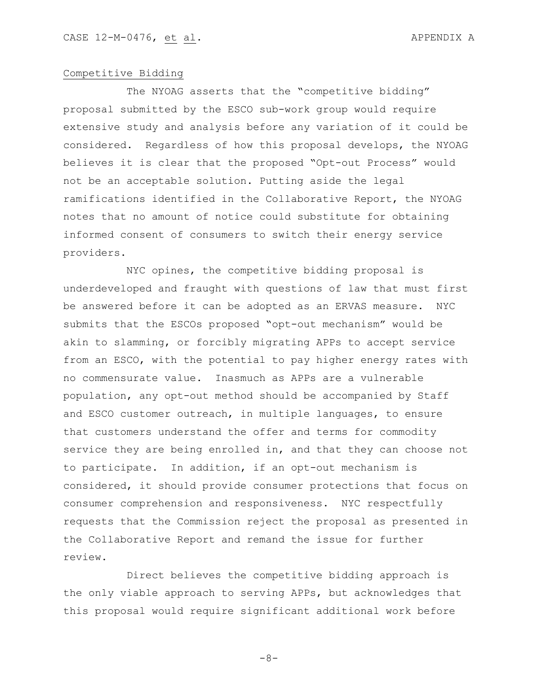## Competitive Bidding

The NYOAG asserts that the "competitive bidding" proposal submitted by the ESCO sub-work group would require extensive study and analysis before any variation of it could be considered. Regardless of how this proposal develops, the NYOAG believes it is clear that the proposed "Opt-out Process" would not be an acceptable solution. Putting aside the legal ramifications identified in the Collaborative Report, the NYOAG notes that no amount of notice could substitute for obtaining informed consent of consumers to switch their energy service providers.

NYC opines, the competitive bidding proposal is underdeveloped and fraught with questions of law that must first be answered before it can be adopted as an ERVAS measure. NYC submits that the ESCOs proposed "opt-out mechanism" would be akin to slamming, or forcibly migrating APPs to accept service from an ESCO, with the potential to pay higher energy rates with no commensurate value. Inasmuch as APPs are a vulnerable population, any opt-out method should be accompanied by Staff and ESCO customer outreach, in multiple languages, to ensure that customers understand the offer and terms for commodity service they are being enrolled in, and that they can choose not to participate. In addition, if an opt-out mechanism is considered, it should provide consumer protections that focus on consumer comprehension and responsiveness. NYC respectfully requests that the Commission reject the proposal as presented in the Collaborative Report and remand the issue for further review.

Direct believes the competitive bidding approach is the only viable approach to serving APPs, but acknowledges that this proposal would require significant additional work before

-8-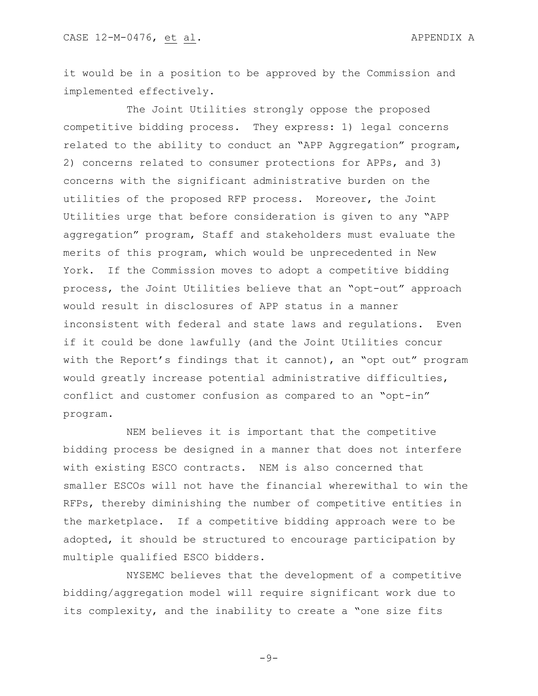it would be in a position to be approved by the Commission and implemented effectively.

The Joint Utilities strongly oppose the proposed competitive bidding process. They express: 1) legal concerns related to the ability to conduct an "APP Aggregation" program, 2) concerns related to consumer protections for APPs, and 3) concerns with the significant administrative burden on the utilities of the proposed RFP process. Moreover, the Joint Utilities urge that before consideration is given to any "APP aggregation" program, Staff and stakeholders must evaluate the merits of this program, which would be unprecedented in New York. If the Commission moves to adopt a competitive bidding process, the Joint Utilities believe that an "opt-out" approach would result in disclosures of APP status in a manner inconsistent with federal and state laws and regulations. Even if it could be done lawfully (and the Joint Utilities concur with the Report's findings that it cannot), an "opt out" program would greatly increase potential administrative difficulties, conflict and customer confusion as compared to an "opt-in" program.

NEM believes it is important that the competitive bidding process be designed in a manner that does not interfere with existing ESCO contracts. NEM is also concerned that smaller ESCOs will not have the financial wherewithal to win the RFPs, thereby diminishing the number of competitive entities in the marketplace. If a competitive bidding approach were to be adopted, it should be structured to encourage participation by multiple qualified ESCO bidders.

NYSEMC believes that the development of a competitive bidding/aggregation model will require significant work due to its complexity, and the inability to create a "one size fits

 $-9-$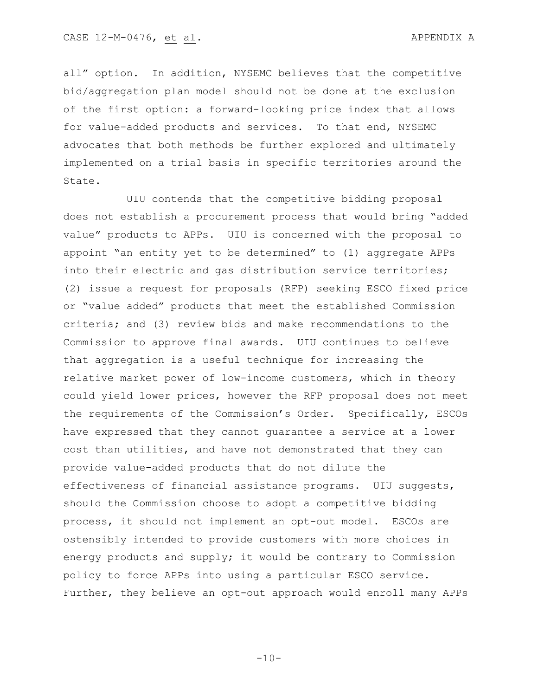all" option. In addition, NYSEMC believes that the competitive bid/aggregation plan model should not be done at the exclusion of the first option: a forward-looking price index that allows for value-added products and services. To that end, NYSEMC advocates that both methods be further explored and ultimately implemented on a trial basis in specific territories around the State.

UIU contends that the competitive bidding proposal does not establish a procurement process that would bring "added value" products to APPs. UIU is concerned with the proposal to appoint "an entity yet to be determined" to (1) aggregate APPs into their electric and gas distribution service territories; (2) issue a request for proposals (RFP) seeking ESCO fixed price or "value added" products that meet the established Commission criteria; and (3) review bids and make recommendations to the Commission to approve final awards. UIU continues to believe that aggregation is a useful technique for increasing the relative market power of low-income customers, which in theory could yield lower prices, however the RFP proposal does not meet the requirements of the Commission's Order. Specifically, ESCOs have expressed that they cannot guarantee a service at a lower cost than utilities, and have not demonstrated that they can provide value-added products that do not dilute the effectiveness of financial assistance programs. UIU suggests, should the Commission choose to adopt a competitive bidding process, it should not implement an opt-out model. ESCOs are ostensibly intended to provide customers with more choices in energy products and supply; it would be contrary to Commission policy to force APPs into using a particular ESCO service. Further, they believe an opt-out approach would enroll many APPs

 $-10-$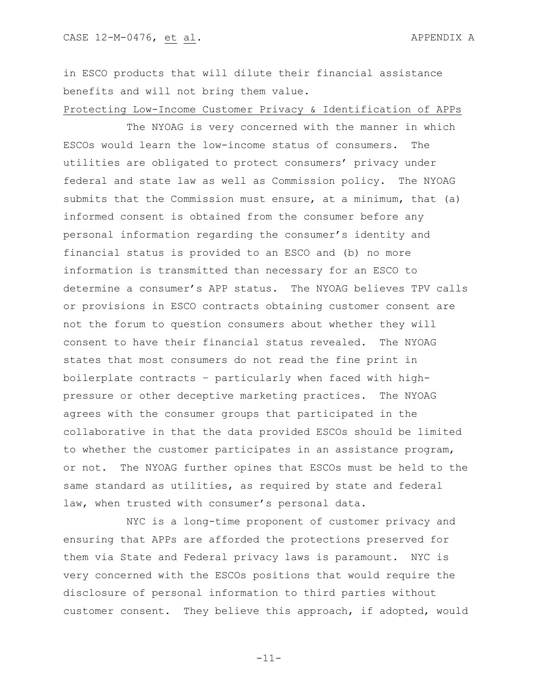in ESCO products that will dilute their financial assistance benefits and will not bring them value.

Protecting Low-Income Customer Privacy & Identification of APPs

The NYOAG is very concerned with the manner in which ESCOs would learn the low-income status of consumers. The utilities are obligated to protect consumers' privacy under federal and state law as well as Commission policy. The NYOAG submits that the Commission must ensure, at a minimum, that (a) informed consent is obtained from the consumer before any personal information regarding the consumer's identity and financial status is provided to an ESCO and (b) no more information is transmitted than necessary for an ESCO to determine a consumer's APP status. The NYOAG believes TPV calls or provisions in ESCO contracts obtaining customer consent are not the forum to question consumers about whether they will consent to have their financial status revealed. The NYOAG states that most consumers do not read the fine print in boilerplate contracts – particularly when faced with highpressure or other deceptive marketing practices. The NYOAG agrees with the consumer groups that participated in the collaborative in that the data provided ESCOs should be limited to whether the customer participates in an assistance program, or not. The NYOAG further opines that ESCOs must be held to the same standard as utilities, as required by state and federal law, when trusted with consumer's personal data.

NYC is a long-time proponent of customer privacy and ensuring that APPs are afforded the protections preserved for them via State and Federal privacy laws is paramount. NYC is very concerned with the ESCOs positions that would require the disclosure of personal information to third parties without customer consent. They believe this approach, if adopted, would

-11-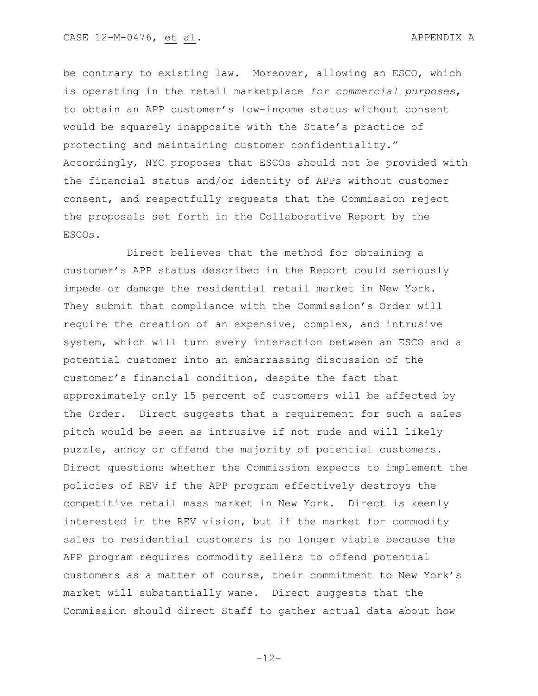be contrary to existing law. Moreover, allowing an ESCO, which is operating in the retail marketplace *for commercial purposes*, to obtain an APP customer's low-income status without consent would be squarely inapposite with the State's practice of protecting and maintaining customer confidentiality." Accordingly, NYC proposes that ESCOs should not be provided with the financial status and/or identity of APPs without customer consent, and respectfully requests that the Commission reject the proposals set forth in the Collaborative Report by the ESCOs.

Direct believes that the method for obtaining a customer's APP status described in the Report could seriously impede or damage the residential retail market in New York. They submit that compliance with the Commission's Order will require the creation of an expensive, complex, and intrusive system, which will turn every interaction between an ESCO and a potential customer into an embarrassing discussion of the customer's financial condition, despite the fact that approximately only 15 percent of customers will be affected by the Order. Direct suggests that a requirement for such a sales pitch would be seen as intrusive if not rude and will likely puzzle, annoy or offend the majority of potential customers. Direct questions whether the Commission expects to implement the policies of REV if the APP program effectively destroys the competitive retail mass market in New York. Direct is keenly interested in the REV vision, but if the market for commodity sales to residential customers is no longer viable because the APP program requires commodity sellers to offend potential customers as a matter of course, their commitment to New York's market will substantially wane. Direct suggests that the Commission should direct Staff to gather actual data about how

-12-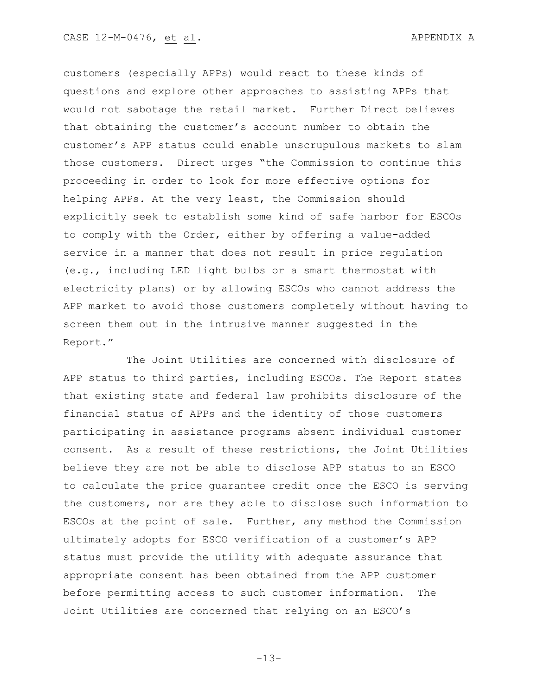customers (especially APPs) would react to these kinds of questions and explore other approaches to assisting APPs that would not sabotage the retail market. Further Direct believes that obtaining the customer's account number to obtain the customer's APP status could enable unscrupulous markets to slam those customers. Direct urges "the Commission to continue this proceeding in order to look for more effective options for helping APPs. At the very least, the Commission should explicitly seek to establish some kind of safe harbor for ESCOs to comply with the Order, either by offering a value-added service in a manner that does not result in price regulation (e.g., including LED light bulbs or a smart thermostat with electricity plans) or by allowing ESCOs who cannot address the APP market to avoid those customers completely without having to screen them out in the intrusive manner suggested in the Report."

The Joint Utilities are concerned with disclosure of APP status to third parties, including ESCOs. The Report states that existing state and federal law prohibits disclosure of the financial status of APPs and the identity of those customers participating in assistance programs absent individual customer consent. As a result of these restrictions, the Joint Utilities believe they are not be able to disclose APP status to an ESCO to calculate the price guarantee credit once the ESCO is serving the customers, nor are they able to disclose such information to ESCOs at the point of sale. Further, any method the Commission ultimately adopts for ESCO verification of a customer's APP status must provide the utility with adequate assurance that appropriate consent has been obtained from the APP customer before permitting access to such customer information. The Joint Utilities are concerned that relying on an ESCO's

-13-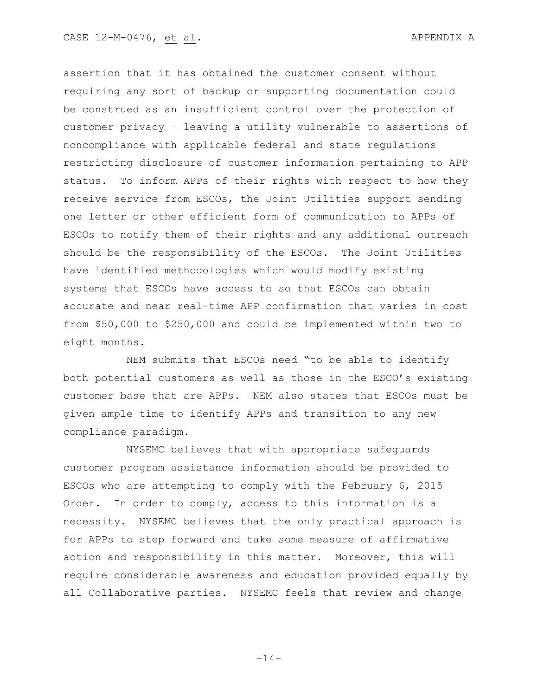assertion that it has obtained the customer consent without requiring any sort of backup or supporting documentation could be construed as an insufficient control over the protection of customer privacy – leaving a utility vulnerable to assertions of noncompliance with applicable federal and state regulations restricting disclosure of customer information pertaining to APP status. To inform APPs of their rights with respect to how they receive service from ESCOs, the Joint Utilities support sending one letter or other efficient form of communication to APPs of ESCOs to notify them of their rights and any additional outreach should be the responsibility of the ESCOs. The Joint Utilities have identified methodologies which would modify existing systems that ESCOs have access to so that ESCOs can obtain accurate and near real-time APP confirmation that varies in cost from \$50,000 to \$250,000 and could be implemented within two to eight months.

NEM submits that ESCOs need "to be able to identify both potential customers as well as those in the ESCO's existing customer base that are APPs. NEM also states that ESCOs must be given ample time to identify APPs and transition to any new compliance paradigm.

NYSEMC believes that with appropriate safeguards customer program assistance information should be provided to ESCOs who are attempting to comply with the February 6, 2015 Order. In order to comply, access to this information is a necessity. NYSEMC believes that the only practical approach is for APPs to step forward and take some measure of affirmative action and responsibility in this matter. Moreover, this will require considerable awareness and education provided equally by all Collaborative parties. NYSEMC feels that review and change

 $-14-$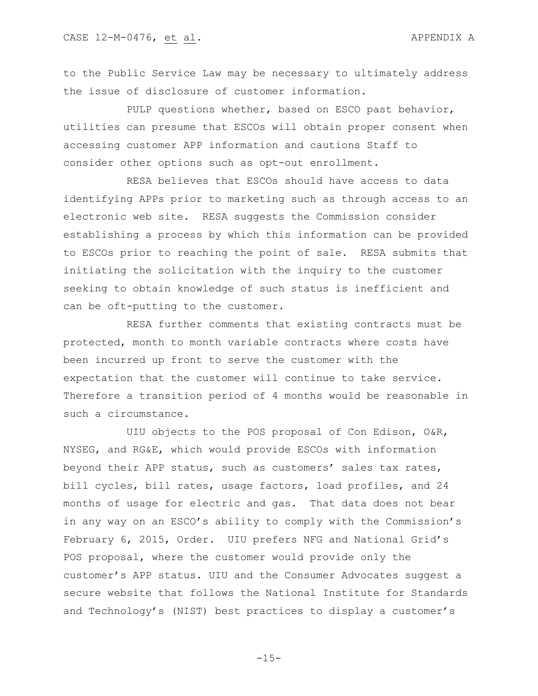to the Public Service Law may be necessary to ultimately address the issue of disclosure of customer information.

PULP questions whether, based on ESCO past behavior, utilities can presume that ESCOs will obtain proper consent when accessing customer APP information and cautions Staff to consider other options such as opt-out enrollment.

RESA believes that ESCOs should have access to data identifying APPs prior to marketing such as through access to an electronic web site. RESA suggests the Commission consider establishing a process by which this information can be provided to ESCOs prior to reaching the point of sale. RESA submits that initiating the solicitation with the inquiry to the customer seeking to obtain knowledge of such status is inefficient and can be oft-putting to the customer.

RESA further comments that existing contracts must be protected, month to month variable contracts where costs have been incurred up front to serve the customer with the expectation that the customer will continue to take service. Therefore a transition period of 4 months would be reasonable in such a circumstance.

UIU objects to the POS proposal of Con Edison, O&R, NYSEG, and RG&E, which would provide ESCOs with information beyond their APP status, such as customers' sales tax rates, bill cycles, bill rates, usage factors, load profiles, and 24 months of usage for electric and gas. That data does not bear in any way on an ESCO's ability to comply with the Commission's February 6, 2015, Order. UIU prefers NFG and National Grid's POS proposal, where the customer would provide only the customer's APP status. UIU and the Consumer Advocates suggest a secure website that follows the National Institute for Standards and Technology's (NIST) best practices to display a customer's

 $-15-$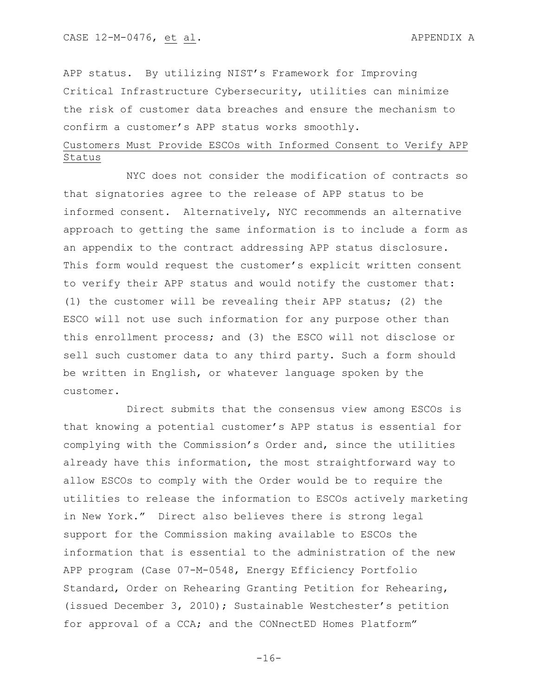APP status. By utilizing NIST's Framework for Improving Critical Infrastructure Cybersecurity, utilities can minimize the risk of customer data breaches and ensure the mechanism to confirm a customer's APP status works smoothly.

# Customers Must Provide ESCOs with Informed Consent to Verify APP Status

NYC does not consider the modification of contracts so that signatories agree to the release of APP status to be informed consent. Alternatively, NYC recommends an alternative approach to getting the same information is to include a form as an appendix to the contract addressing APP status disclosure. This form would request the customer's explicit written consent to verify their APP status and would notify the customer that: (1) the customer will be revealing their APP status; (2) the ESCO will not use such information for any purpose other than this enrollment process; and (3) the ESCO will not disclose or sell such customer data to any third party. Such a form should be written in English, or whatever language spoken by the customer.

Direct submits that the consensus view among ESCOs is that knowing a potential customer's APP status is essential for complying with the Commission's Order and, since the utilities already have this information, the most straightforward way to allow ESCOs to comply with the Order would be to require the utilities to release the information to ESCOs actively marketing in New York." Direct also believes there is strong legal support for the Commission making available to ESCOs the information that is essential to the administration of the new APP program (Case 07-M-0548, Energy Efficiency Portfolio Standard, Order on Rehearing Granting Petition for Rehearing, (issued December 3, 2010); Sustainable Westchester's petition for approval of a CCA; and the CONnectED Homes Platform"

-16-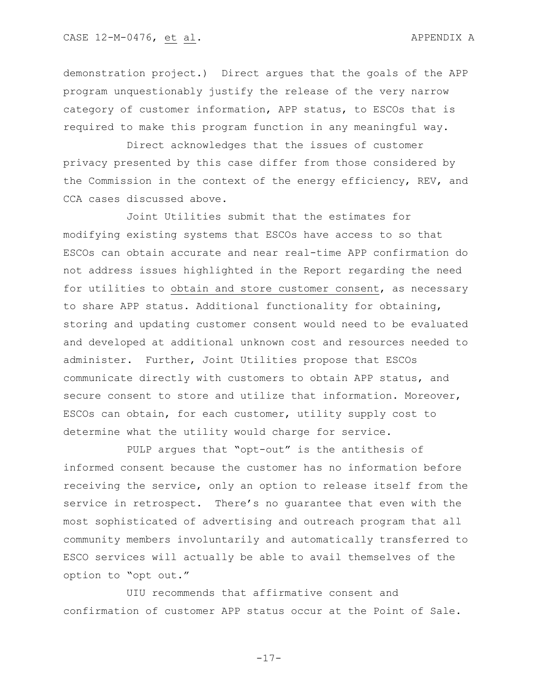demonstration project.) Direct argues that the goals of the APP program unquestionably justify the release of the very narrow category of customer information, APP status, to ESCOs that is required to make this program function in any meaningful way.

Direct acknowledges that the issues of customer privacy presented by this case differ from those considered by the Commission in the context of the energy efficiency, REV, and CCA cases discussed above.

Joint Utilities submit that the estimates for modifying existing systems that ESCOs have access to so that ESCOs can obtain accurate and near real-time APP confirmation do not address issues highlighted in the Report regarding the need for utilities to obtain and store customer consent, as necessary to share APP status. Additional functionality for obtaining, storing and updating customer consent would need to be evaluated and developed at additional unknown cost and resources needed to administer. Further, Joint Utilities propose that ESCOs communicate directly with customers to obtain APP status, and secure consent to store and utilize that information. Moreover, ESCOs can obtain, for each customer, utility supply cost to determine what the utility would charge for service.

PULP argues that "opt-out" is the antithesis of informed consent because the customer has no information before receiving the service, only an option to release itself from the service in retrospect. There's no guarantee that even with the most sophisticated of advertising and outreach program that all community members involuntarily and automatically transferred to ESCO services will actually be able to avail themselves of the option to "opt out."

UIU recommends that affirmative consent and confirmation of customer APP status occur at the Point of Sale.

-17-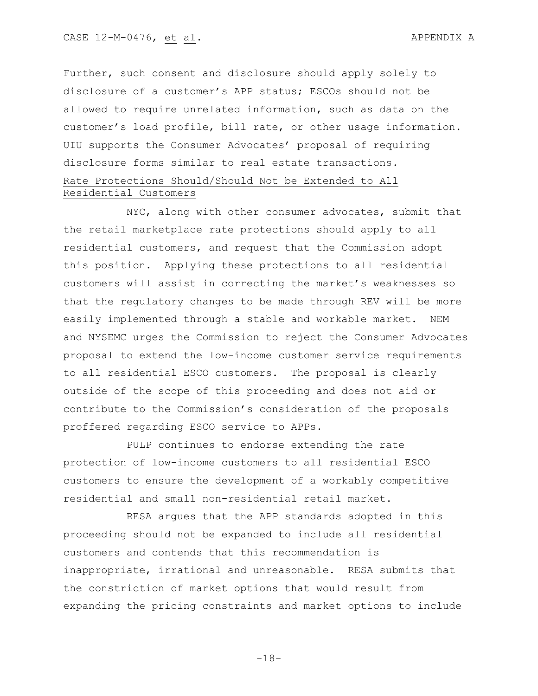Further, such consent and disclosure should apply solely to disclosure of a customer's APP status; ESCOs should not be allowed to require unrelated information, such as data on the customer's load profile, bill rate, or other usage information. UIU supports the Consumer Advocates' proposal of requiring disclosure forms similar to real estate transactions.

# Rate Protections Should/Should Not be Extended to All Residential Customers

NYC, along with other consumer advocates, submit that the retail marketplace rate protections should apply to all residential customers, and request that the Commission adopt this position. Applying these protections to all residential customers will assist in correcting the market's weaknesses so that the regulatory changes to be made through REV will be more easily implemented through a stable and workable market. NEM and NYSEMC urges the Commission to reject the Consumer Advocates proposal to extend the low-income customer service requirements to all residential ESCO customers. The proposal is clearly outside of the scope of this proceeding and does not aid or contribute to the Commission's consideration of the proposals proffered regarding ESCO service to APPs.

PULP continues to endorse extending the rate protection of low-income customers to all residential ESCO customers to ensure the development of a workably competitive residential and small non-residential retail market.

RESA argues that the APP standards adopted in this proceeding should not be expanded to include all residential customers and contends that this recommendation is inappropriate, irrational and unreasonable. RESA submits that the constriction of market options that would result from expanding the pricing constraints and market options to include

-18-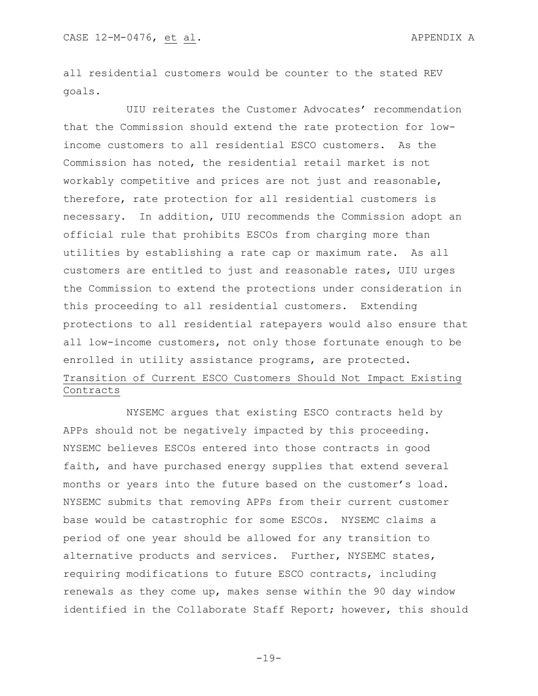all residential customers would be counter to the stated REV goals.

UIU reiterates the Customer Advocates' recommendation that the Commission should extend the rate protection for lowincome customers to all residential ESCO customers. As the Commission has noted, the residential retail market is not workably competitive and prices are not just and reasonable, therefore, rate protection for all residential customers is necessary. In addition, UIU recommends the Commission adopt an official rule that prohibits ESCOs from charging more than utilities by establishing a rate cap or maximum rate. As all customers are entitled to just and reasonable rates, UIU urges the Commission to extend the protections under consideration in this proceeding to all residential customers. Extending protections to all residential ratepayers would also ensure that all low-income customers, not only those fortunate enough to be enrolled in utility assistance programs, are protected. Transition of Current ESCO Customers Should Not Impact Existing Contracts

NYSEMC argues that existing ESCO contracts held by APPs should not be negatively impacted by this proceeding. NYSEMC believes ESCOs entered into those contracts in good faith, and have purchased energy supplies that extend several months or years into the future based on the customer's load. NYSEMC submits that removing APPs from their current customer base would be catastrophic for some ESCOs. NYSEMC claims a period of one year should be allowed for any transition to alternative products and services. Further, NYSEMC states, requiring modifications to future ESCO contracts, including renewals as they come up, makes sense within the 90 day window identified in the Collaborate Staff Report; however, this should

-19-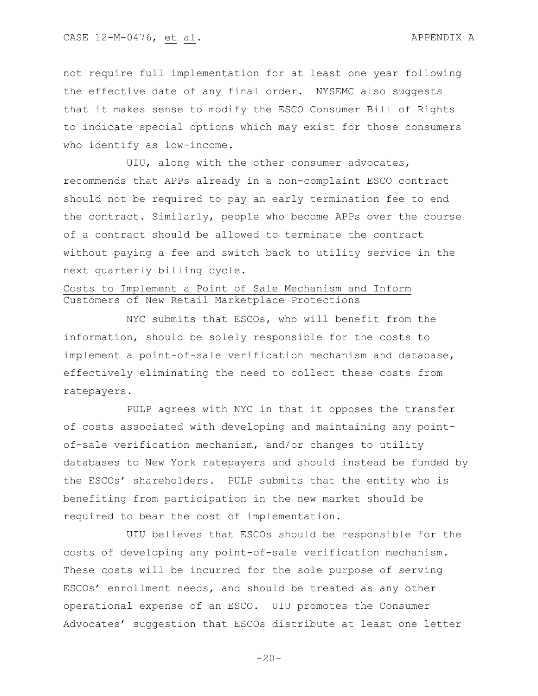not require full implementation for at least one year following the effective date of any final order. NYSEMC also suggests that it makes sense to modify the ESCO Consumer Bill of Rights to indicate special options which may exist for those consumers who identify as low-income.

UIU, along with the other consumer advocates, recommends that APPs already in a non-complaint ESCO contract should not be required to pay an early termination fee to end the contract. Similarly, people who become APPs over the course of a contract should be allowed to terminate the contract without paying a fee and switch back to utility service in the next quarterly billing cycle.

## Costs to Implement a Point of Sale Mechanism and Inform Customers of New Retail Marketplace Protections

NYC submits that ESCOs, who will benefit from the information, should be solely responsible for the costs to implement a point-of-sale verification mechanism and database, effectively eliminating the need to collect these costs from ratepayers.

PULP agrees with NYC in that it opposes the transfer of costs associated with developing and maintaining any pointof-sale verification mechanism, and/or changes to utility databases to New York ratepayers and should instead be funded by the ESCOs' shareholders. PULP submits that the entity who is benefiting from participation in the new market should be required to bear the cost of implementation.

UIU believes that ESCOs should be responsible for the costs of developing any point-of-sale verification mechanism. These costs will be incurred for the sole purpose of serving ESCOs' enrollment needs, and should be treated as any other operational expense of an ESCO. UIU promotes the Consumer Advocates' suggestion that ESCOs distribute at least one letter

 $-20-$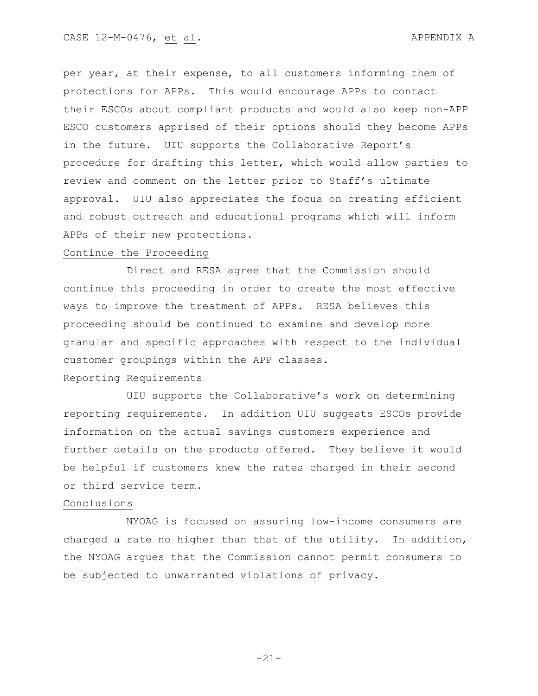per year, at their expense, to all customers informing them of protections for APPs. This would encourage APPs to contact their ESCOs about compliant products and would also keep non-APP ESCO customers apprised of their options should they become APPs in the future. UIU supports the Collaborative Report's procedure for drafting this letter, which would allow parties to review and comment on the letter prior to Staff's ultimate approval. UIU also appreciates the focus on creating efficient and robust outreach and educational programs which will inform APPs of their new protections.

### Continue the Proceeding

Direct and RESA agree that the Commission should continue this proceeding in order to create the most effective ways to improve the treatment of APPs. RESA believes this proceeding should be continued to examine and develop more granular and specific approaches with respect to the individual customer groupings within the APP classes.

## Reporting Requirements

UIU supports the Collaborative's work on determining reporting requirements. In addition UIU suggests ESCOs provide information on the actual savings customers experience and further details on the products offered. They believe it would be helpful if customers knew the rates charged in their second or third service term.

#### Conclusions

NYOAG is focused on assuring low-income consumers are charged a rate no higher than that of the utility. In addition, the NYOAG argues that the Commission cannot permit consumers to be subjected to unwarranted violations of privacy.

-21-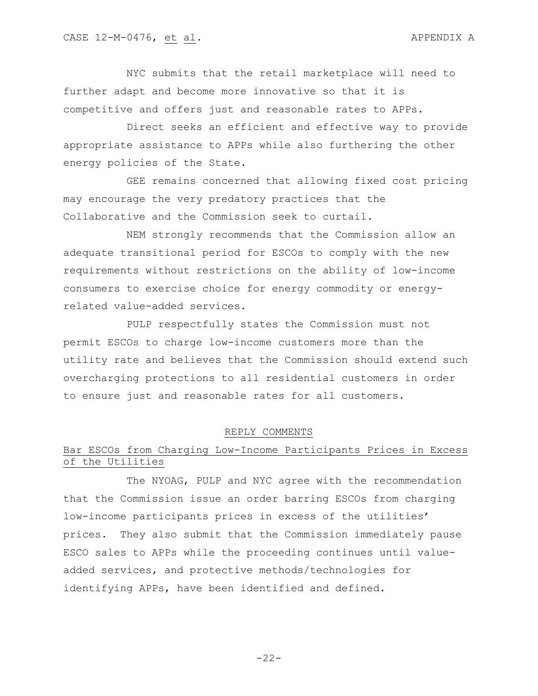NYC submits that the retail marketplace will need to further adapt and become more innovative so that it is competitive and offers just and reasonable rates to APPs.

Direct seeks an efficient and effective way to provide appropriate assistance to APPs while also furthering the other energy policies of the State.

GEE remains concerned that allowing fixed cost pricing may encourage the very predatory practices that the Collaborative and the Commission seek to curtail.

NEM strongly recommends that the Commission allow an adequate transitional period for ESCOs to comply with the new requirements without restrictions on the ability of low-income consumers to exercise choice for energy commodity or energyrelated value-added services.

PULP respectfully states the Commission must not permit ESCOs to charge low-income customers more than the utility rate and believes that the Commission should extend such overcharging protections to all residential customers in order to ensure just and reasonable rates for all customers.

#### REPLY COMMENTS

# Bar ESCOs from Charging Low-Income Participants Prices in Excess of the Utilities

The NYOAG, PULP and NYC agree with the recommendation that the Commission issue an order barring ESCOs from charging low-income participants prices in excess of the utilities' prices. They also submit that the Commission immediately pause ESCO sales to APPs while the proceeding continues until valueadded services, and protective methods/technologies for identifying APPs, have been identified and defined.

 $-22-$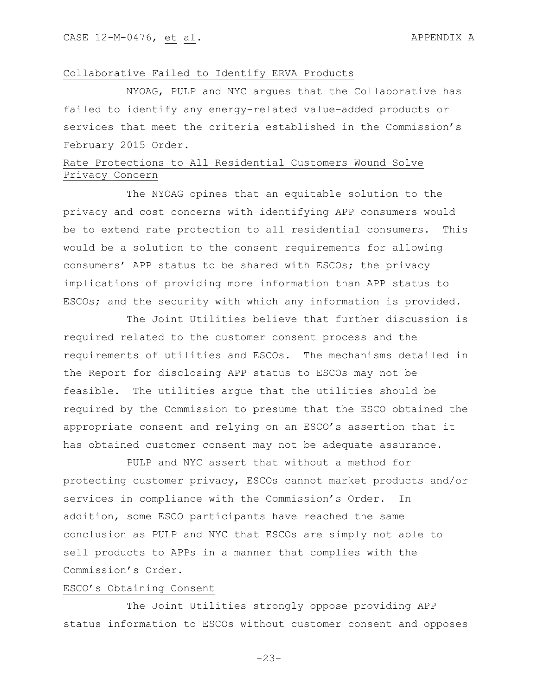## Collaborative Failed to Identify ERVA Products

NYOAG, PULP and NYC argues that the Collaborative has failed to identify any energy-related value-added products or services that meet the criteria established in the Commission's February 2015 Order.

# Rate Protections to All Residential Customers Wound Solve Privacy Concern

The NYOAG opines that an equitable solution to the privacy and cost concerns with identifying APP consumers would be to extend rate protection to all residential consumers. This would be a solution to the consent requirements for allowing consumers' APP status to be shared with ESCOs; the privacy implications of providing more information than APP status to ESCOs; and the security with which any information is provided.

The Joint Utilities believe that further discussion is required related to the customer consent process and the requirements of utilities and ESCOs. The mechanisms detailed in the Report for disclosing APP status to ESCOs may not be feasible. The utilities argue that the utilities should be required by the Commission to presume that the ESCO obtained the appropriate consent and relying on an ESCO's assertion that it has obtained customer consent may not be adequate assurance.

PULP and NYC assert that without a method for protecting customer privacy, ESCOs cannot market products and/or services in compliance with the Commission's Order. In addition, some ESCO participants have reached the same conclusion as PULP and NYC that ESCOs are simply not able to sell products to APPs in a manner that complies with the Commission's Order.

### ESCO's Obtaining Consent

The Joint Utilities strongly oppose providing APP status information to ESCOs without customer consent and opposes

-23-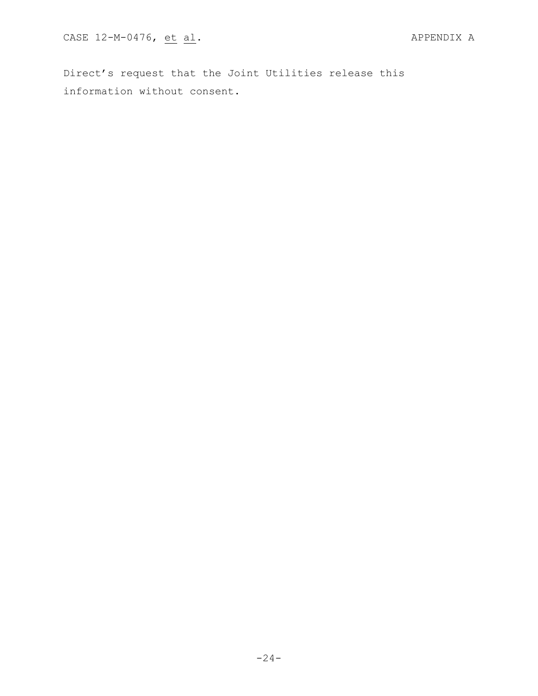Direct's request that the Joint Utilities release this information without consent.